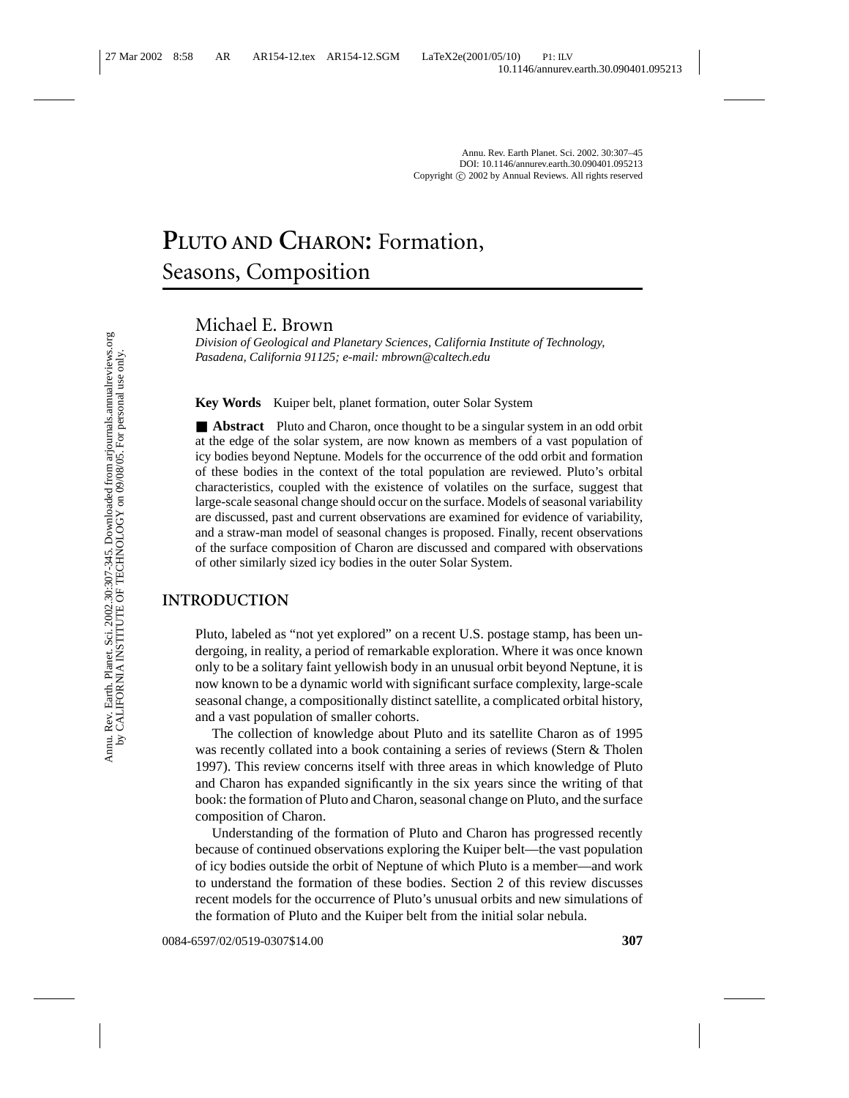# **PLUTO AND CHARON:** Formation, Seasons, Composition

Michael E. Brown

*Division of Geological and Planetary Sciences, California Institute of Technology, Pasadena, California 91125; e-mail: mbrown@caltech.edu*

**Key Words** Kuiper belt, planet formation, outer Solar System

■ **Abstract** Pluto and Charon, once thought to be a singular system in an odd orbit at the edge of the solar system, are now known as members of a vast population of icy bodies beyond Neptune. Models for the occurrence of the odd orbit and formation of these bodies in the context of the total population are reviewed. Pluto's orbital characteristics, coupled with the existence of volatiles on the surface, suggest that large-scale seasonal change should occur on the surface. Models of seasonal variability are discussed, past and current observations are examined for evidence of variability, and a straw-man model of seasonal changes is proposed. Finally, recent observations of the surface composition of Charon are discussed and compared with observations of other similarly sized icy bodies in the outer Solar System.

## **INTRODUCTION**

Pluto, labeled as "not yet explored" on a recent U.S. postage stamp, has been undergoing, in reality, a period of remarkable exploration. Where it was once known only to be a solitary faint yellowish body in an unusual orbit beyond Neptune, it is now known to be a dynamic world with significant surface complexity, large-scale seasonal change, a compositionally distinct satellite, a complicated orbital history, and a vast population of smaller cohorts.

The collection of knowledge about Pluto and its satellite Charon as of 1995 was recently collated into a book containing a series of reviews (Stern & Tholen 1997). This review concerns itself with three areas in which knowledge of Pluto and Charon has expanded significantly in the six years since the writing of that book: the formation of Pluto and Charon, seasonal change on Pluto, and the surface composition of Charon.

Understanding of the formation of Pluto and Charon has progressed recently because of continued observations exploring the Kuiper belt—the vast population of icy bodies outside the orbit of Neptune of which Pluto is a member—and work to understand the formation of these bodies. Section 2 of this review discusses recent models for the occurrence of Pluto's unusual orbits and new simulations of the formation of Pluto and the Kuiper belt from the initial solar nebula.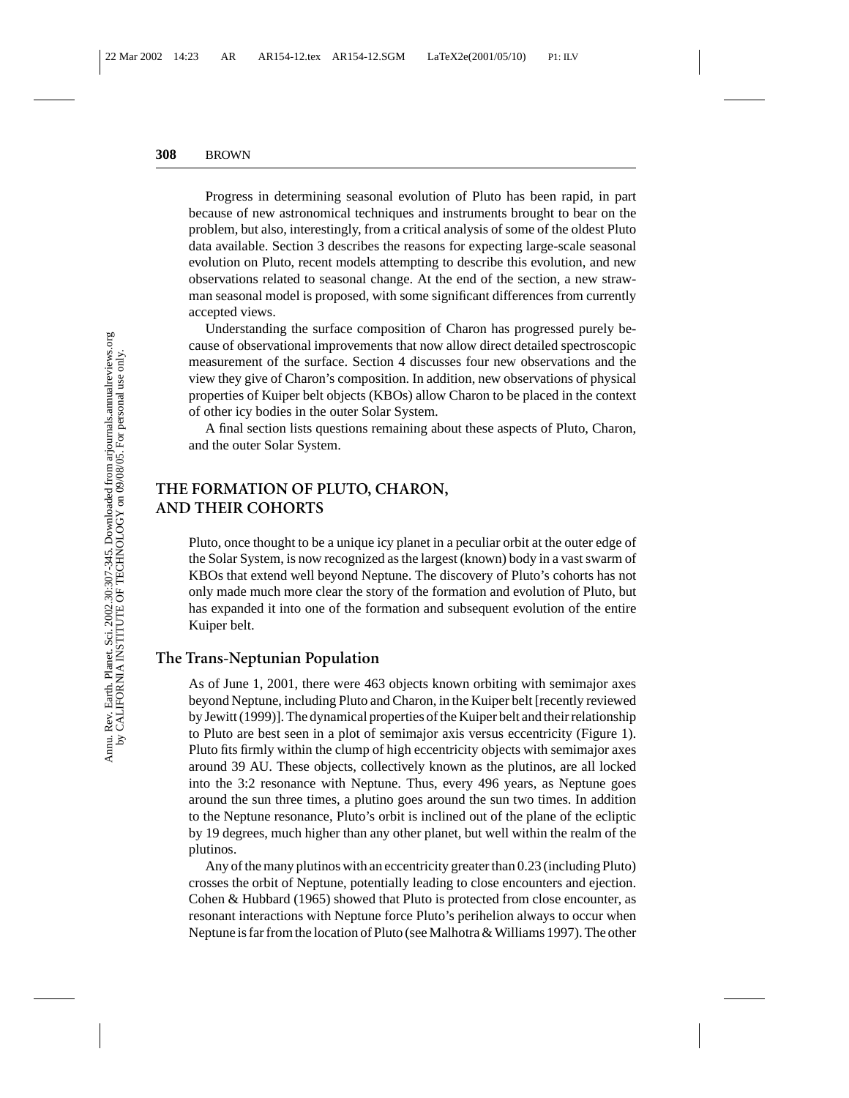Progress in determining seasonal evolution of Pluto has been rapid, in part because of new astronomical techniques and instruments brought to bear on the problem, but also, interestingly, from a critical analysis of some of the oldest Pluto data available. Section 3 describes the reasons for expecting large-scale seasonal evolution on Pluto, recent models attempting to describe this evolution, and new observations related to seasonal change. At the end of the section, a new strawman seasonal model is proposed, with some significant differences from currently accepted views.

Understanding the surface composition of Charon has progressed purely because of observational improvements that now allow direct detailed spectroscopic measurement of the surface. Section 4 discusses four new observations and the view they give of Charon's composition. In addition, new observations of physical properties of Kuiper belt objects (KBOs) allow Charon to be placed in the context of other icy bodies in the outer Solar System.

A final section lists questions remaining about these aspects of Pluto, Charon, and the outer Solar System.

## **THE FORMATION OF PLUTO, CHARON, AND THEIR COHORTS**

Pluto, once thought to be a unique icy planet in a peculiar orbit at the outer edge of the Solar System, is now recognized as the largest (known) body in a vast swarm of KBOs that extend well beyond Neptune. The discovery of Pluto's cohorts has not only made much more clear the story of the formation and evolution of Pluto, but has expanded it into one of the formation and subsequent evolution of the entire Kuiper belt.

### **The Trans-Neptunian Population**

As of June 1, 2001, there were 463 objects known orbiting with semimajor axes beyond Neptune, including Pluto and Charon, in the Kuiper belt [recently reviewed by Jewitt (1999)]. The dynamical properties of the Kuiper belt and their relationship to Pluto are best seen in a plot of semimajor axis versus eccentricity (Figure 1). Pluto fits firmly within the clump of high eccentricity objects with semimajor axes around 39 AU. These objects, collectively known as the plutinos, are all locked into the 3:2 resonance with Neptune. Thus, every 496 years, as Neptune goes around the sun three times, a plutino goes around the sun two times. In addition to the Neptune resonance, Pluto's orbit is inclined out of the plane of the ecliptic by 19 degrees, much higher than any other planet, but well within the realm of the plutinos.

Any of the many plutinos with an eccentricity greater than 0.23 (including Pluto) crosses the orbit of Neptune, potentially leading to close encounters and ejection. Cohen & Hubbard (1965) showed that Pluto is protected from close encounter, as resonant interactions with Neptune force Pluto's perihelion always to occur when Neptune is far from the location of Pluto (see Malhotra & Williams 1997). The other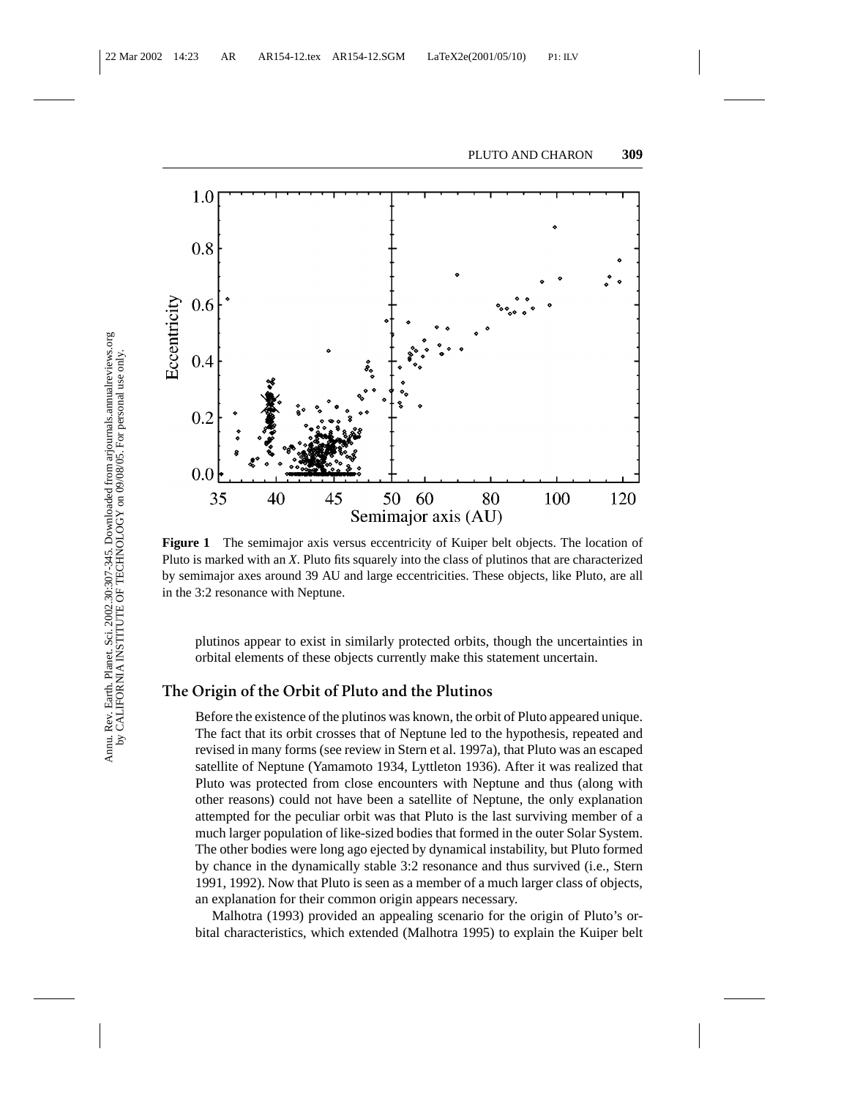

**Figure 1** The semimajor axis versus eccentricity of Kuiper belt objects. The location of Pluto is marked with an *X*. Pluto fits squarely into the class of plutinos that are characterized by semimajor axes around 39 AU and large eccentricities. These objects, like Pluto, are all in the 3:2 resonance with Neptune.

plutinos appear to exist in similarly protected orbits, though the uncertainties in orbital elements of these objects currently make this statement uncertain.

### **The Origin of the Orbit of Pluto and the Plutinos**

Before the existence of the plutinos was known, the orbit of Pluto appeared unique. The fact that its orbit crosses that of Neptune led to the hypothesis, repeated and revised in many forms (see review in Stern et al. 1997a), that Pluto was an escaped satellite of Neptune (Yamamoto 1934, Lyttleton 1936). After it was realized that Pluto was protected from close encounters with Neptune and thus (along with other reasons) could not have been a satellite of Neptune, the only explanation attempted for the peculiar orbit was that Pluto is the last surviving member of a much larger population of like-sized bodies that formed in the outer Solar System. The other bodies were long ago ejected by dynamical instability, but Pluto formed by chance in the dynamically stable 3:2 resonance and thus survived (i.e., Stern 1991, 1992). Now that Pluto is seen as a member of a much larger class of objects, an explanation for their common origin appears necessary.

Malhotra (1993) provided an appealing scenario for the origin of Pluto's orbital characteristics, which extended (Malhotra 1995) to explain the Kuiper belt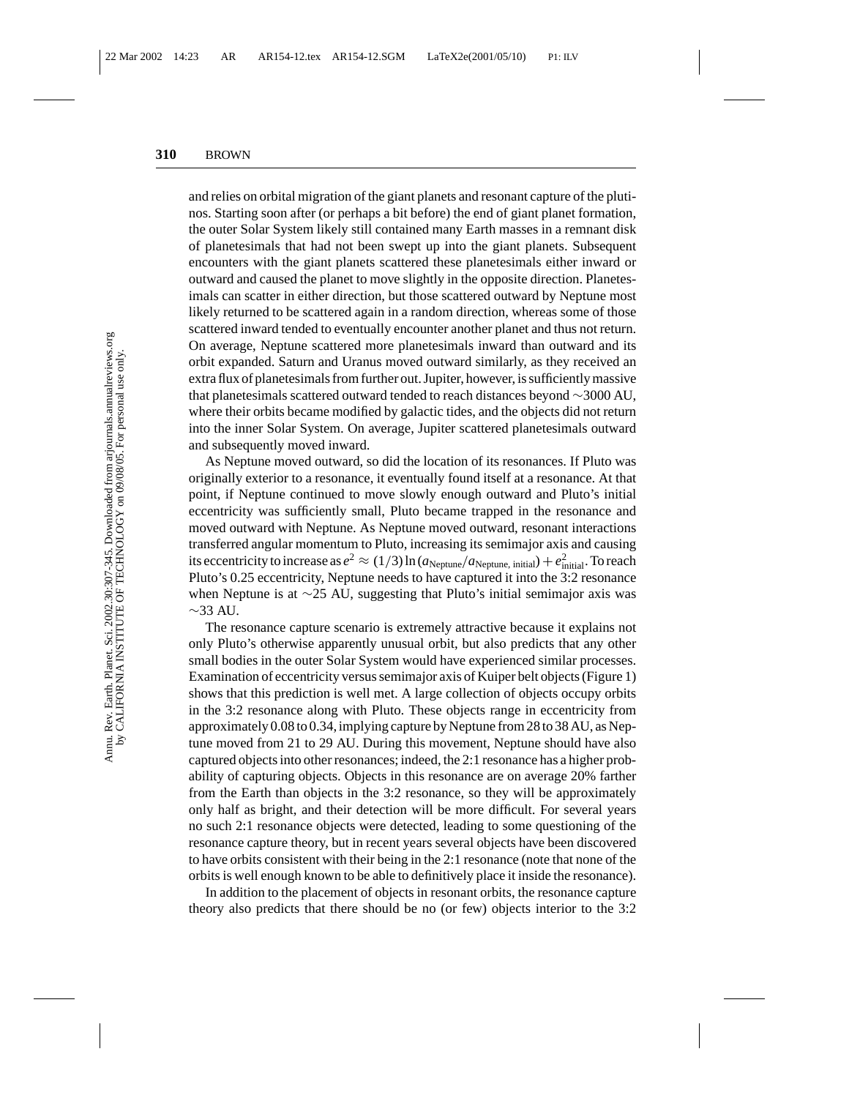and relies on orbital migration of the giant planets and resonant capture of the plutinos. Starting soon after (or perhaps a bit before) the end of giant planet formation, the outer Solar System likely still contained many Earth masses in a remnant disk of planetesimals that had not been swept up into the giant planets. Subsequent encounters with the giant planets scattered these planetesimals either inward or outward and caused the planet to move slightly in the opposite direction. Planetesimals can scatter in either direction, but those scattered outward by Neptune most likely returned to be scattered again in a random direction, whereas some of those scattered inward tended to eventually encounter another planet and thus not return. On average, Neptune scattered more planetesimals inward than outward and its orbit expanded. Saturn and Uranus moved outward similarly, as they received an extra flux of planetesimals from further out. Jupiter, however, is sufficiently massive that planetesimals scattered outward tended to reach distances beyond ∼3000 AU, where their orbits became modified by galactic tides, and the objects did not return into the inner Solar System. On average, Jupiter scattered planetesimals outward and subsequently moved inward.

As Neptune moved outward, so did the location of its resonances. If Pluto was originally exterior to a resonance, it eventually found itself at a resonance. At that point, if Neptune continued to move slowly enough outward and Pluto's initial eccentricity was sufficiently small, Pluto became trapped in the resonance and moved outward with Neptune. As Neptune moved outward, resonant interactions transferred angular momentum to Pluto, increasing its semimajor axis and causing its eccentricity to increase as  $e^2 \approx (1/3) \ln (a_{\text{Neptune}}/a_{\text{Neptune, initial}}) + e_{\text{initial}}^2$ . To reach Pluto's 0.25 eccentricity, Neptune needs to have captured it into the 3:2 resonance when Neptune is at ∼25 AU, suggesting that Pluto's initial semimajor axis was  $\sim$ 33 AU.

The resonance capture scenario is extremely attractive because it explains not only Pluto's otherwise apparently unusual orbit, but also predicts that any other small bodies in the outer Solar System would have experienced similar processes. Examination of eccentricity versus semimajor axis of Kuiper belt objects (Figure 1) shows that this prediction is well met. A large collection of objects occupy orbits in the 3:2 resonance along with Pluto. These objects range in eccentricity from approximately 0.08 to 0.34, implying capture by Neptune from 28 to 38 AU, as Neptune moved from 21 to 29 AU. During this movement, Neptune should have also captured objects into other resonances; indeed, the 2:1 resonance has a higher probability of capturing objects. Objects in this resonance are on average 20% farther from the Earth than objects in the 3:2 resonance, so they will be approximately only half as bright, and their detection will be more difficult. For several years no such 2:1 resonance objects were detected, leading to some questioning of the resonance capture theory, but in recent years several objects have been discovered to have orbits consistent with their being in the 2:1 resonance (note that none of the orbits is well enough known to be able to definitively place it inside the resonance).

In addition to the placement of objects in resonant orbits, the resonance capture theory also predicts that there should be no (or few) objects interior to the 3:2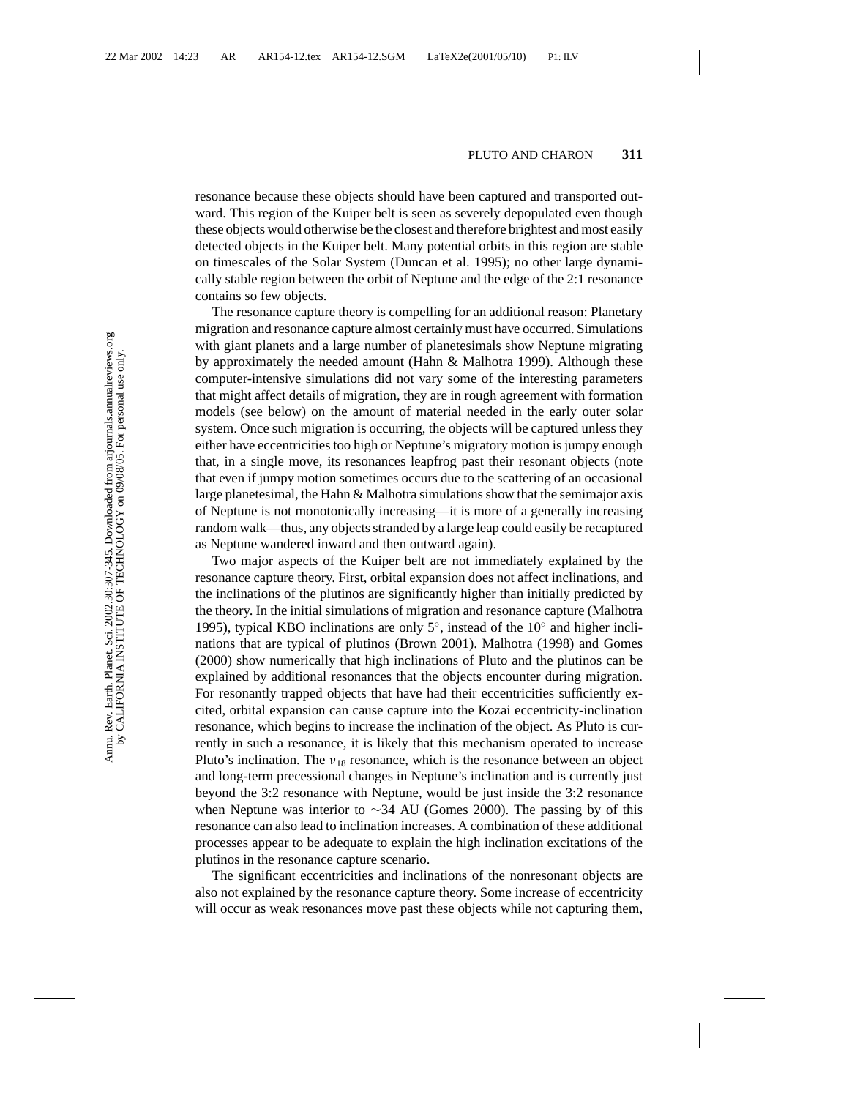resonance because these objects should have been captured and transported outward. This region of the Kuiper belt is seen as severely depopulated even though these objects would otherwise be the closest and therefore brightest and most easily detected objects in the Kuiper belt. Many potential orbits in this region are stable on timescales of the Solar System (Duncan et al. 1995); no other large dynamically stable region between the orbit of Neptune and the edge of the 2:1 resonance contains so few objects.

The resonance capture theory is compelling for an additional reason: Planetary migration and resonance capture almost certainly must have occurred. Simulations with giant planets and a large number of planetesimals show Neptune migrating by approximately the needed amount (Hahn & Malhotra 1999). Although these computer-intensive simulations did not vary some of the interesting parameters that might affect details of migration, they are in rough agreement with formation models (see below) on the amount of material needed in the early outer solar system. Once such migration is occurring, the objects will be captured unless they either have eccentricities too high or Neptune's migratory motion is jumpy enough that, in a single move, its resonances leapfrog past their resonant objects (note that even if jumpy motion sometimes occurs due to the scattering of an occasional large planetesimal, the Hahn  $\&$  Malhotra simulations show that the semimajor axis of Neptune is not monotonically increasing—it is more of a generally increasing random walk—thus, any objects stranded by a large leap could easily be recaptured as Neptune wandered inward and then outward again).

Two major aspects of the Kuiper belt are not immediately explained by the resonance capture theory. First, orbital expansion does not affect inclinations, and the inclinations of the plutinos are significantly higher than initially predicted by the theory. In the initial simulations of migration and resonance capture (Malhotra 1995), typical KBO inclinations are only 5◦, instead of the 10◦ and higher inclinations that are typical of plutinos (Brown 2001). Malhotra (1998) and Gomes (2000) show numerically that high inclinations of Pluto and the plutinos can be explained by additional resonances that the objects encounter during migration. For resonantly trapped objects that have had their eccentricities sufficiently excited, orbital expansion can cause capture into the Kozai eccentricity-inclination resonance, which begins to increase the inclination of the object. As Pluto is currently in such a resonance, it is likely that this mechanism operated to increase Pluto's inclination. The  $v_{18}$  resonance, which is the resonance between an object and long-term precessional changes in Neptune's inclination and is currently just beyond the 3:2 resonance with Neptune, would be just inside the 3:2 resonance when Neptune was interior to ∼34 AU (Gomes 2000). The passing by of this resonance can also lead to inclination increases. A combination of these additional processes appear to be adequate to explain the high inclination excitations of the plutinos in the resonance capture scenario.

The significant eccentricities and inclinations of the nonresonant objects are also not explained by the resonance capture theory. Some increase of eccentricity will occur as weak resonances move past these objects while not capturing them,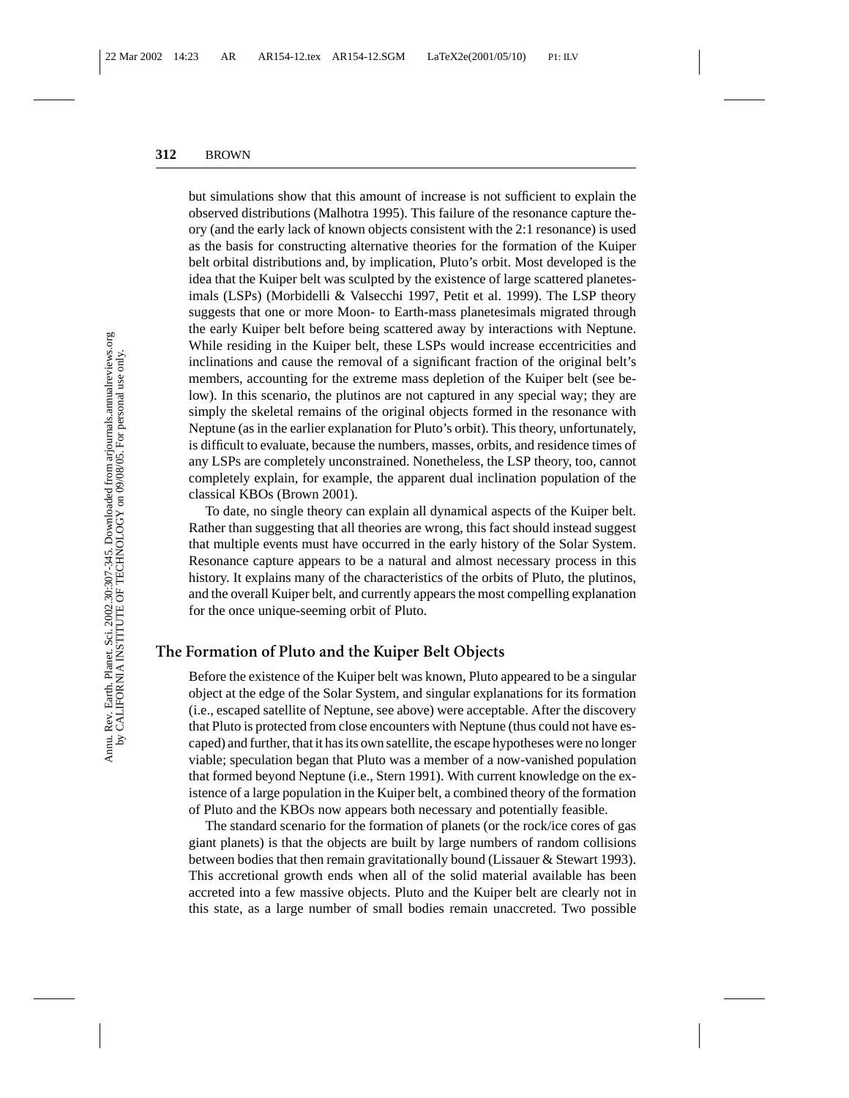but simulations show that this amount of increase is not sufficient to explain the observed distributions (Malhotra 1995). This failure of the resonance capture theory (and the early lack of known objects consistent with the 2:1 resonance) is used as the basis for constructing alternative theories for the formation of the Kuiper belt orbital distributions and, by implication, Pluto's orbit. Most developed is the idea that the Kuiper belt was sculpted by the existence of large scattered planetesimals (LSPs) (Morbidelli & Valsecchi 1997, Petit et al. 1999). The LSP theory suggests that one or more Moon- to Earth-mass planetesimals migrated through the early Kuiper belt before being scattered away by interactions with Neptune. While residing in the Kuiper belt, these LSPs would increase eccentricities and inclinations and cause the removal of a significant fraction of the original belt's members, accounting for the extreme mass depletion of the Kuiper belt (see below). In this scenario, the plutinos are not captured in any special way; they are simply the skeletal remains of the original objects formed in the resonance with Neptune (as in the earlier explanation for Pluto's orbit). This theory, unfortunately, is difficult to evaluate, because the numbers, masses, orbits, and residence times of any LSPs are completely unconstrained. Nonetheless, the LSP theory, too, cannot completely explain, for example, the apparent dual inclination population of the classical KBOs (Brown 2001).

To date, no single theory can explain all dynamical aspects of the Kuiper belt. Rather than suggesting that all theories are wrong, this fact should instead suggest that multiple events must have occurred in the early history of the Solar System. Resonance capture appears to be a natural and almost necessary process in this history. It explains many of the characteristics of the orbits of Pluto, the plutinos, and the overall Kuiper belt, and currently appears the most compelling explanation for the once unique-seeming orbit of Pluto.

#### **The Formation of Pluto and the Kuiper Belt Objects**

Before the existence of the Kuiper belt was known, Pluto appeared to be a singular object at the edge of the Solar System, and singular explanations for its formation (i.e., escaped satellite of Neptune, see above) were acceptable. After the discovery that Pluto is protected from close encounters with Neptune (thus could not have escaped) and further, that it has its own satellite, the escape hypotheses were no longer viable; speculation began that Pluto was a member of a now-vanished population that formed beyond Neptune (i.e., Stern 1991). With current knowledge on the existence of a large population in the Kuiper belt, a combined theory of the formation of Pluto and the KBOs now appears both necessary and potentially feasible.

The standard scenario for the formation of planets (or the rock/ice cores of gas giant planets) is that the objects are built by large numbers of random collisions between bodies that then remain gravitationally bound (Lissauer & Stewart 1993). This accretional growth ends when all of the solid material available has been accreted into a few massive objects. Pluto and the Kuiper belt are clearly not in this state, as a large number of small bodies remain unaccreted. Two possible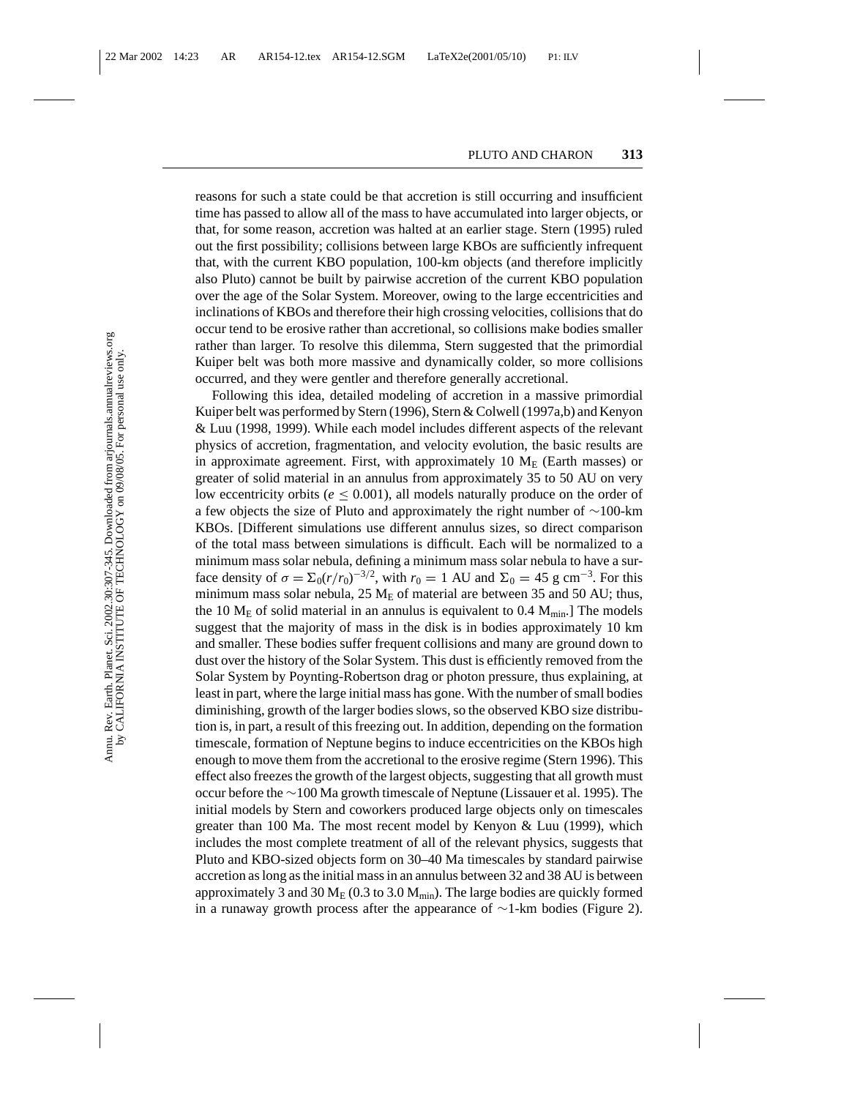reasons for such a state could be that accretion is still occurring and insufficient time has passed to allow all of the mass to have accumulated into larger objects, or that, for some reason, accretion was halted at an earlier stage. Stern (1995) ruled out the first possibility; collisions between large KBOs are sufficiently infrequent that, with the current KBO population, 100-km objects (and therefore implicitly also Pluto) cannot be built by pairwise accretion of the current KBO population over the age of the Solar System. Moreover, owing to the large eccentricities and inclinations of KBOs and therefore their high crossing velocities, collisions that do occur tend to be erosive rather than accretional, so collisions make bodies smaller rather than larger. To resolve this dilemma, Stern suggested that the primordial Kuiper belt was both more massive and dynamically colder, so more collisions occurred, and they were gentler and therefore generally accretional.

Following this idea, detailed modeling of accretion in a massive primordial Kuiper belt was performed by Stern (1996), Stern & Colwell (1997a,b) and Kenyon & Luu (1998, 1999). While each model includes different aspects of the relevant physics of accretion, fragmentation, and velocity evolution, the basic results are in approximate agreement. First, with approximately 10  $M_E$  (Earth masses) or greater of solid material in an annulus from approximately 35 to 50 AU on very low eccentricity orbits ( $e \leq 0.001$ ), all models naturally produce on the order of a few objects the size of Pluto and approximately the right number of ∼100-km KBOs. [Different simulations use different annulus sizes, so direct comparison of the total mass between simulations is difficult. Each will be normalized to a minimum mass solar nebula, defining a minimum mass solar nebula to have a surface density of  $\sigma = \sum_0 (r/r_0)^{-3/2}$ , with  $r_0 = 1$  AU and  $\Sigma_0 = 45$  g cm<sup>-3</sup>. For this minimum mass solar nebula,  $25 \text{ M}_{\text{E}}$  of material are between 35 and 50 AU; thus, the 10  $M_E$  of solid material in an annulus is equivalent to 0.4  $M_{min}$ . The models suggest that the majority of mass in the disk is in bodies approximately 10 km and smaller. These bodies suffer frequent collisions and many are ground down to dust over the history of the Solar System. This dust is efficiently removed from the Solar System by Poynting-Robertson drag or photon pressure, thus explaining, at least in part, where the large initial mass has gone. With the number of small bodies diminishing, growth of the larger bodies slows, so the observed KBO size distribution is, in part, a result of this freezing out. In addition, depending on the formation timescale, formation of Neptune begins to induce eccentricities on the KBOs high enough to move them from the accretional to the erosive regime (Stern 1996). This effect also freezes the growth of the largest objects, suggesting that all growth must occur before the ∼100 Ma growth timescale of Neptune (Lissauer et al. 1995). The initial models by Stern and coworkers produced large objects only on timescales greater than 100 Ma. The most recent model by Kenyon & Luu (1999), which includes the most complete treatment of all of the relevant physics, suggests that Pluto and KBO-sized objects form on 30–40 Ma timescales by standard pairwise accretion as long as the initial mass in an annulus between 32 and 38 AU is between approximately 3 and 30  $M_E$  (0.3 to 3.0  $M_{min}$ ). The large bodies are quickly formed in a runaway growth process after the appearance of ∼1-km bodies (Figure 2).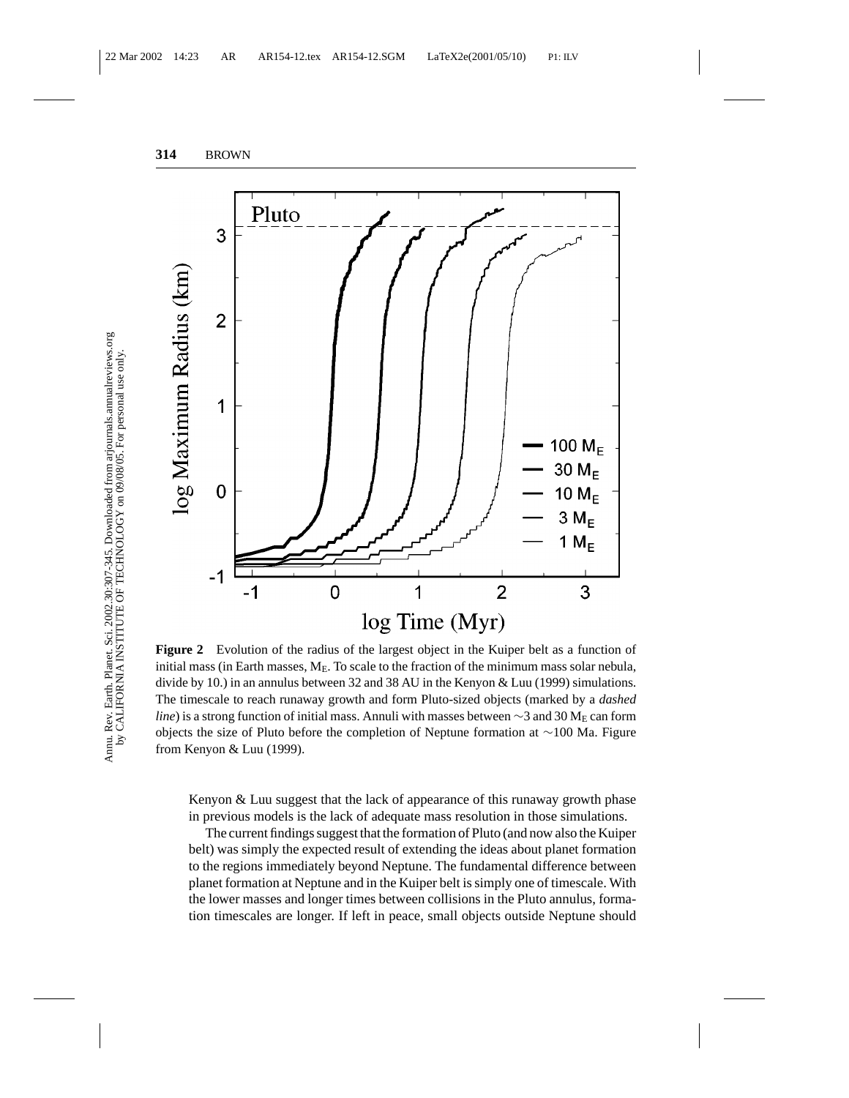

**Figure 2** Evolution of the radius of the largest object in the Kuiper belt as a function of initial mass (in Earth masses,  $M_E$ . To scale to the fraction of the minimum mass solar nebula, divide by 10.) in an annulus between 32 and 38 AU in the Kenyon & Luu (1999) simulations. The timescale to reach runaway growth and form Pluto-sized objects (marked by a *dashed line*) is a strong function of initial mass. Annuli with masses between  $\sim$ 3 and 30 M<sub>E</sub> can form objects the size of Pluto before the completion of Neptune formation at ∼100 Ma. Figure from Kenyon & Luu (1999).

Kenyon & Luu suggest that the lack of appearance of this runaway growth phase in previous models is the lack of adequate mass resolution in those simulations.

The current findings suggest that the formation of Pluto (and now also the Kuiper belt) was simply the expected result of extending the ideas about planet formation to the regions immediately beyond Neptune. The fundamental difference between planet formation at Neptune and in the Kuiper belt is simply one of timescale. With the lower masses and longer times between collisions in the Pluto annulus, formation timescales are longer. If left in peace, small objects outside Neptune should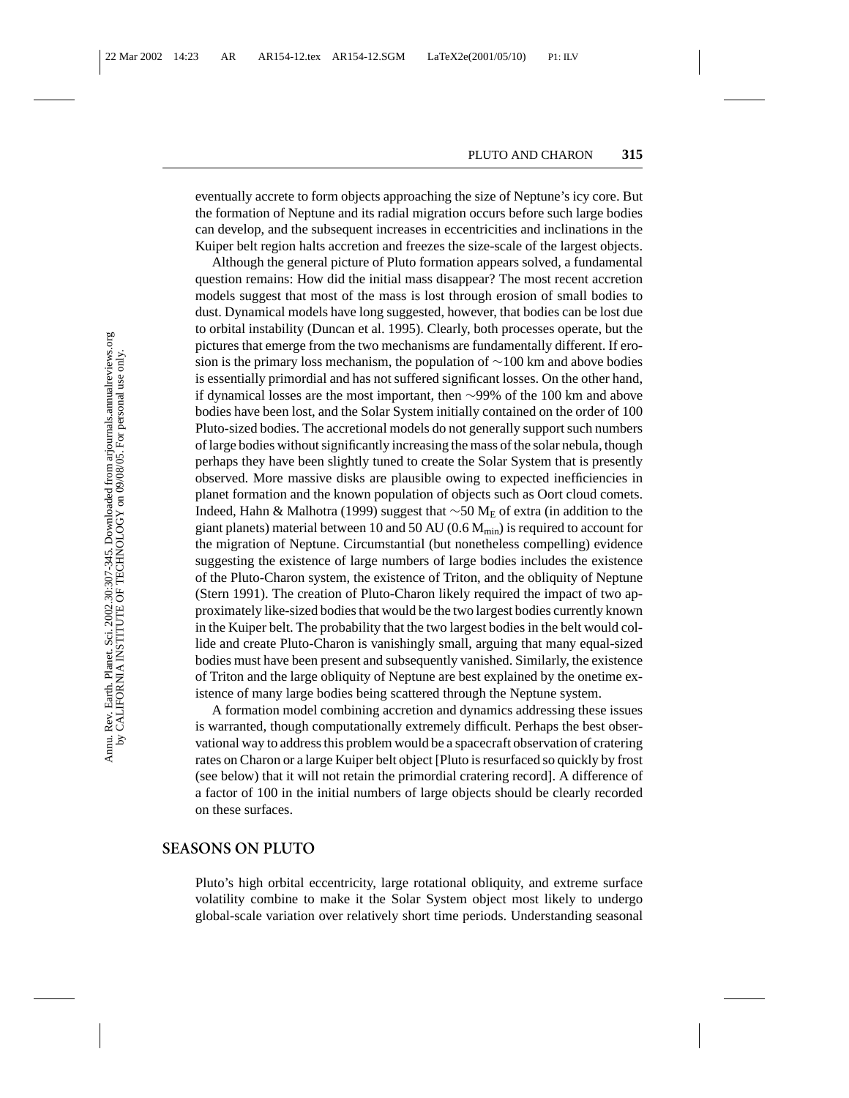eventually accrete to form objects approaching the size of Neptune's icy core. But the formation of Neptune and its radial migration occurs before such large bodies can develop, and the subsequent increases in eccentricities and inclinations in the Kuiper belt region halts accretion and freezes the size-scale of the largest objects.

Although the general picture of Pluto formation appears solved, a fundamental question remains: How did the initial mass disappear? The most recent accretion models suggest that most of the mass is lost through erosion of small bodies to dust. Dynamical models have long suggested, however, that bodies can be lost due to orbital instability (Duncan et al. 1995). Clearly, both processes operate, but the pictures that emerge from the two mechanisms are fundamentally different. If erosion is the primary loss mechanism, the population of ∼100 km and above bodies is essentially primordial and has not suffered significant losses. On the other hand, if dynamical losses are the most important, then ∼99% of the 100 km and above bodies have been lost, and the Solar System initially contained on the order of 100 Pluto-sized bodies. The accretional models do not generally support such numbers of large bodies without significantly increasing the mass of the solar nebula, though perhaps they have been slightly tuned to create the Solar System that is presently observed. More massive disks are plausible owing to expected inefficiencies in planet formation and the known population of objects such as Oort cloud comets. Indeed, Hahn & Malhotra (1999) suggest that ∼50 ME of extra (in addition to the giant planets) material between 10 and 50 AU (0.6  $M_{min}$ ) is required to account for the migration of Neptune. Circumstantial (but nonetheless compelling) evidence suggesting the existence of large numbers of large bodies includes the existence of the Pluto-Charon system, the existence of Triton, and the obliquity of Neptune (Stern 1991). The creation of Pluto-Charon likely required the impact of two approximately like-sized bodies that would be the two largest bodies currently known in the Kuiper belt. The probability that the two largest bodies in the belt would collide and create Pluto-Charon is vanishingly small, arguing that many equal-sized bodies must have been present and subsequently vanished. Similarly, the existence of Triton and the large obliquity of Neptune are best explained by the onetime existence of many large bodies being scattered through the Neptune system.

A formation model combining accretion and dynamics addressing these issues is warranted, though computationally extremely difficult. Perhaps the best observational way to address this problem would be a spacecraft observation of cratering rates on Charon or a large Kuiper belt object [Pluto is resurfaced so quickly by frost (see below) that it will not retain the primordial cratering record]. A difference of a factor of 100 in the initial numbers of large objects should be clearly recorded on these surfaces.

#### **SEASONS ON PLUTO**

Pluto's high orbital eccentricity, large rotational obliquity, and extreme surface volatility combine to make it the Solar System object most likely to undergo global-scale variation over relatively short time periods. Understanding seasonal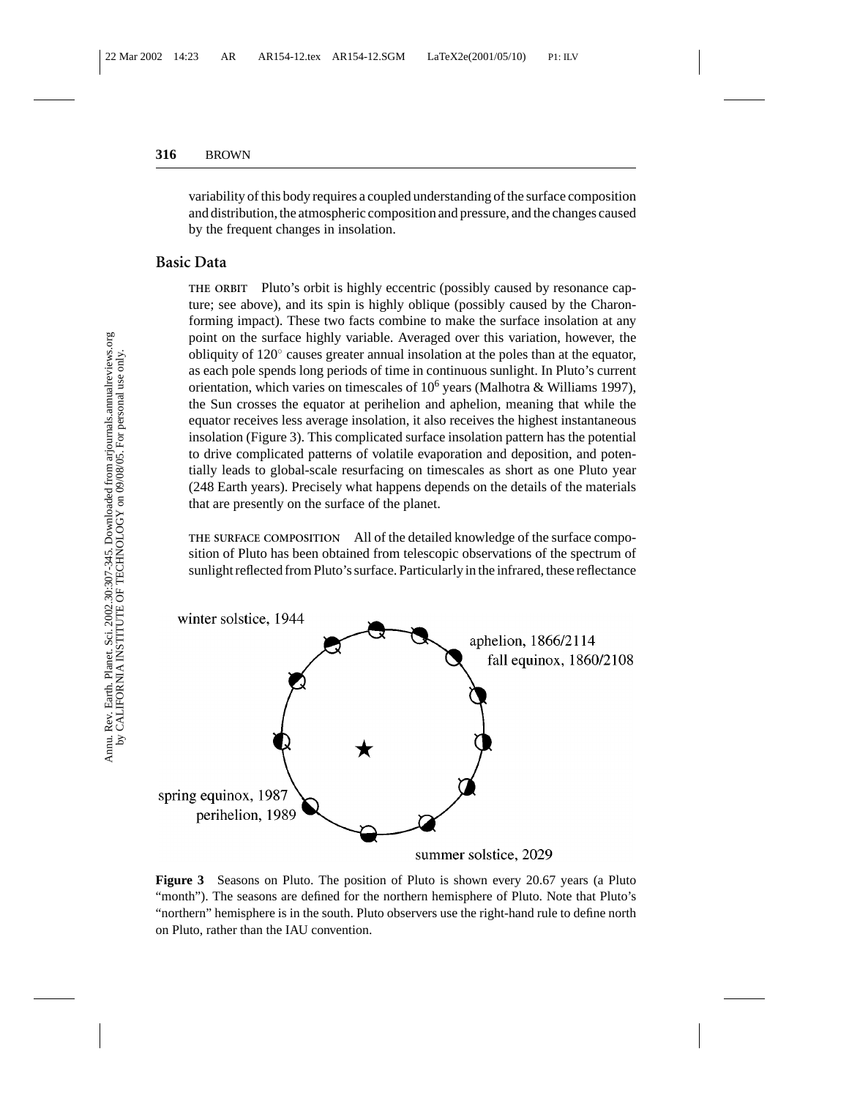variability of this body requires a coupled understanding of the surface composition and distribution, the atmospheric composition and pressure, and the changes caused by the frequent changes in insolation.

#### **Basic Data**

**THE ORBIT** Pluto's orbit is highly eccentric (possibly caused by resonance capture; see above), and its spin is highly oblique (possibly caused by the Charonforming impact). These two facts combine to make the surface insolation at any point on the surface highly variable. Averaged over this variation, however, the obliquity of 120◦ causes greater annual insolation at the poles than at the equator, as each pole spends long periods of time in continuous sunlight. In Pluto's current orientation, which varies on timescales of  $10^6$  years (Malhotra & Williams 1997), the Sun crosses the equator at perihelion and aphelion, meaning that while the equator receives less average insolation, it also receives the highest instantaneous insolation (Figure 3). This complicated surface insolation pattern has the potential to drive complicated patterns of volatile evaporation and deposition, and potentially leads to global-scale resurfacing on timescales as short as one Pluto year (248 Earth years). Precisely what happens depends on the details of the materials that are presently on the surface of the planet.

**THE SURFACE COMPOSITION** All of the detailed knowledge of the surface composition of Pluto has been obtained from telescopic observations of the spectrum of sunlight reflected from Pluto's surface. Particularly in the infrared, these reflectance



**Figure 3** Seasons on Pluto. The position of Pluto is shown every 20.67 years (a Pluto "month"). The seasons are defined for the northern hemisphere of Pluto. Note that Pluto's "northern" hemisphere is in the south. Pluto observers use the right-hand rule to define north on Pluto, rather than the IAU convention.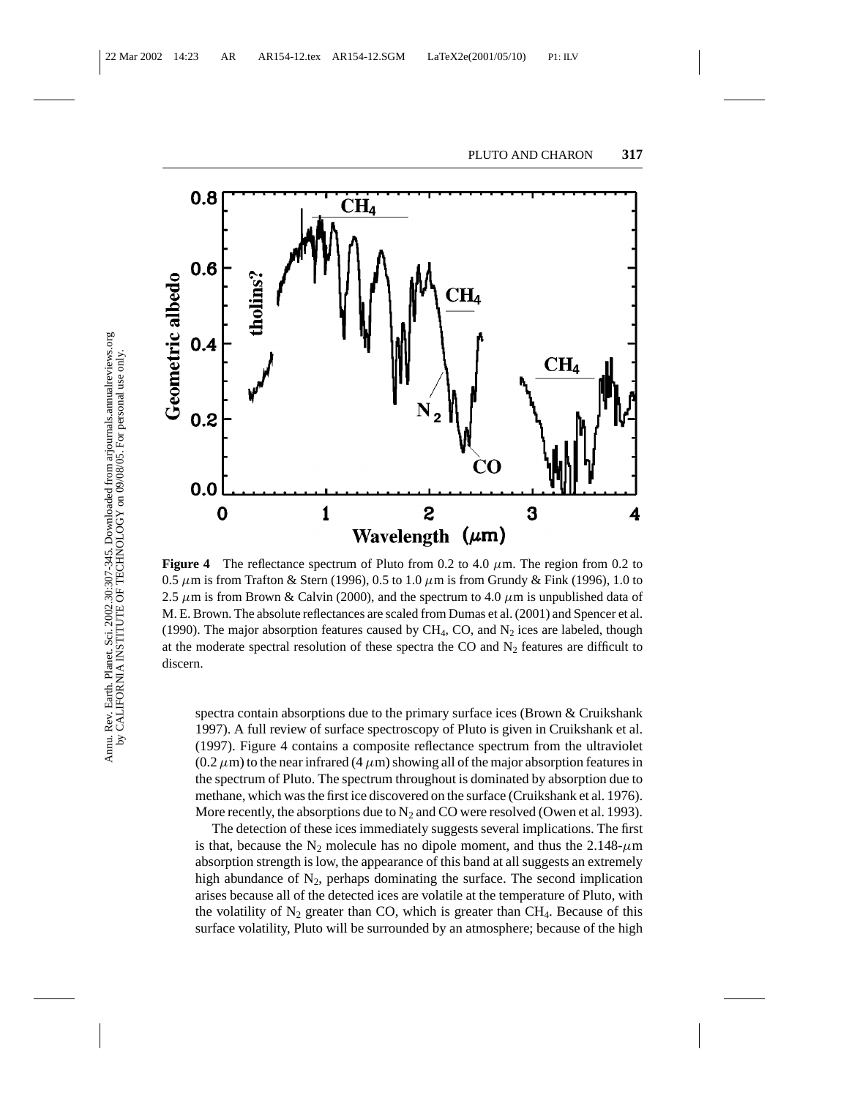

**Figure 4** The reflectance spectrum of Pluto from 0.2 to 4.0  $\mu$ m. The region from 0.2 to 0.5  $\mu$ m is from Trafton & Stern (1996), 0.5 to 1.0  $\mu$ m is from Grundy & Fink (1996), 1.0 to 2.5  $\mu$ m is from Brown & Calvin (2000), and the spectrum to 4.0  $\mu$ m is unpublished data of M. E. Brown. The absolute reflectances are scaled from Dumas et al. (2001) and Spencer et al. (1990). The major absorption features caused by CH<sub>4</sub>, CO, and  $N_2$  ices are labeled, though at the moderate spectral resolution of these spectra the CO and  $N_2$  features are difficult to discern.

spectra contain absorptions due to the primary surface ices (Brown & Cruikshank 1997). A full review of surface spectroscopy of Pluto is given in Cruikshank et al. (1997). Figure 4 contains a composite reflectance spectrum from the ultraviolet  $(0.2 \mu m)$  to the near infrared  $(4 \mu m)$  showing all of the major absorption features in the spectrum of Pluto. The spectrum throughout is dominated by absorption due to methane, which was the first ice discovered on the surface (Cruikshank et al. 1976). More recently, the absorptions due to  $N_2$  and CO were resolved (Owen et al. 1993).

The detection of these ices immediately suggests several implications. The first is that, because the N<sub>2</sub> molecule has no dipole moment, and thus the 2.148- $\mu$ m absorption strength is low, the appearance of this band at all suggests an extremely high abundance of  $N_2$ , perhaps dominating the surface. The second implication arises because all of the detected ices are volatile at the temperature of Pluto, with the volatility of  $N_2$  greater than CO, which is greater than CH<sub>4</sub>. Because of this surface volatility, Pluto will be surrounded by an atmosphere; because of the high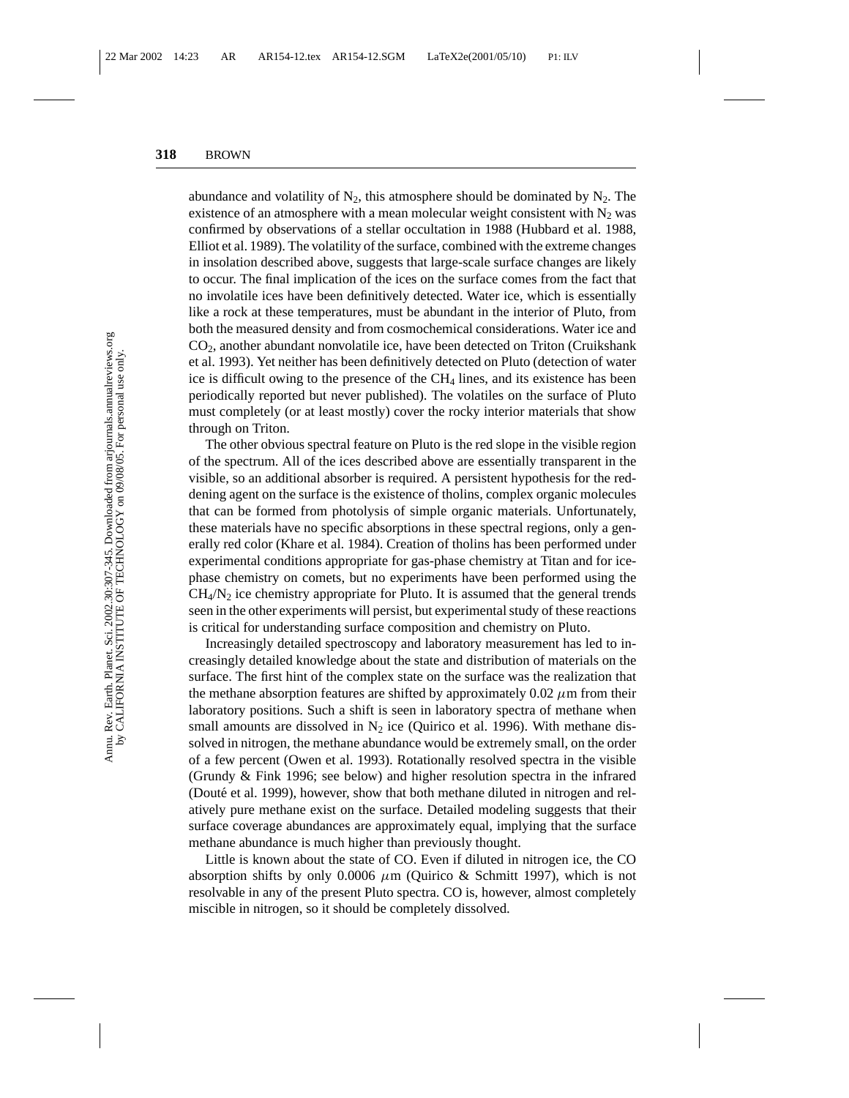abundance and volatility of  $N_2$ , this atmosphere should be dominated by  $N_2$ . The existence of an atmosphere with a mean molecular weight consistent with  $N_2$  was confirmed by observations of a stellar occultation in 1988 (Hubbard et al. 1988, Elliot et al. 1989). The volatility of the surface, combined with the extreme changes in insolation described above, suggests that large-scale surface changes are likely to occur. The final implication of the ices on the surface comes from the fact that no involatile ices have been definitively detected. Water ice, which is essentially like a rock at these temperatures, must be abundant in the interior of Pluto, from both the measured density and from cosmochemical considerations. Water ice and  $CO<sub>2</sub>$ , another abundant nonvolatile ice, have been detected on Triton (Cruikshank et al. 1993). Yet neither has been definitively detected on Pluto (detection of water ice is difficult owing to the presence of the  $CH<sub>4</sub>$  lines, and its existence has been periodically reported but never published). The volatiles on the surface of Pluto must completely (or at least mostly) cover the rocky interior materials that show through on Triton.

The other obvious spectral feature on Pluto is the red slope in the visible region of the spectrum. All of the ices described above are essentially transparent in the visible, so an additional absorber is required. A persistent hypothesis for the reddening agent on the surface is the existence of tholins, complex organic molecules that can be formed from photolysis of simple organic materials. Unfortunately, these materials have no specific absorptions in these spectral regions, only a generally red color (Khare et al. 1984). Creation of tholins has been performed under experimental conditions appropriate for gas-phase chemistry at Titan and for icephase chemistry on comets, but no experiments have been performed using the  $CH<sub>4</sub>/N<sub>2</sub>$  ice chemistry appropriate for Pluto. It is assumed that the general trends seen in the other experiments will persist, but experimental study of these reactions is critical for understanding surface composition and chemistry on Pluto.

Increasingly detailed spectroscopy and laboratory measurement has led to increasingly detailed knowledge about the state and distribution of materials on the surface. The first hint of the complex state on the surface was the realization that the methane absorption features are shifted by approximately  $0.02 \mu m$  from their laboratory positions. Such a shift is seen in laboratory spectra of methane when small amounts are dissolved in  $N_2$  ice (Quirico et al. 1996). With methane dissolved in nitrogen, the methane abundance would be extremely small, on the order of a few percent (Owen et al. 1993). Rotationally resolved spectra in the visible (Grundy & Fink 1996; see below) and higher resolution spectra in the infrared (Douté et al. 1999), however, show that both methane diluted in nitrogen and relatively pure methane exist on the surface. Detailed modeling suggests that their surface coverage abundances are approximately equal, implying that the surface methane abundance is much higher than previously thought.

Little is known about the state of CO. Even if diluted in nitrogen ice, the CO absorption shifts by only 0.0006  $\mu$ m (Quirico & Schmitt 1997), which is not resolvable in any of the present Pluto spectra. CO is, however, almost completely miscible in nitrogen, so it should be completely dissolved.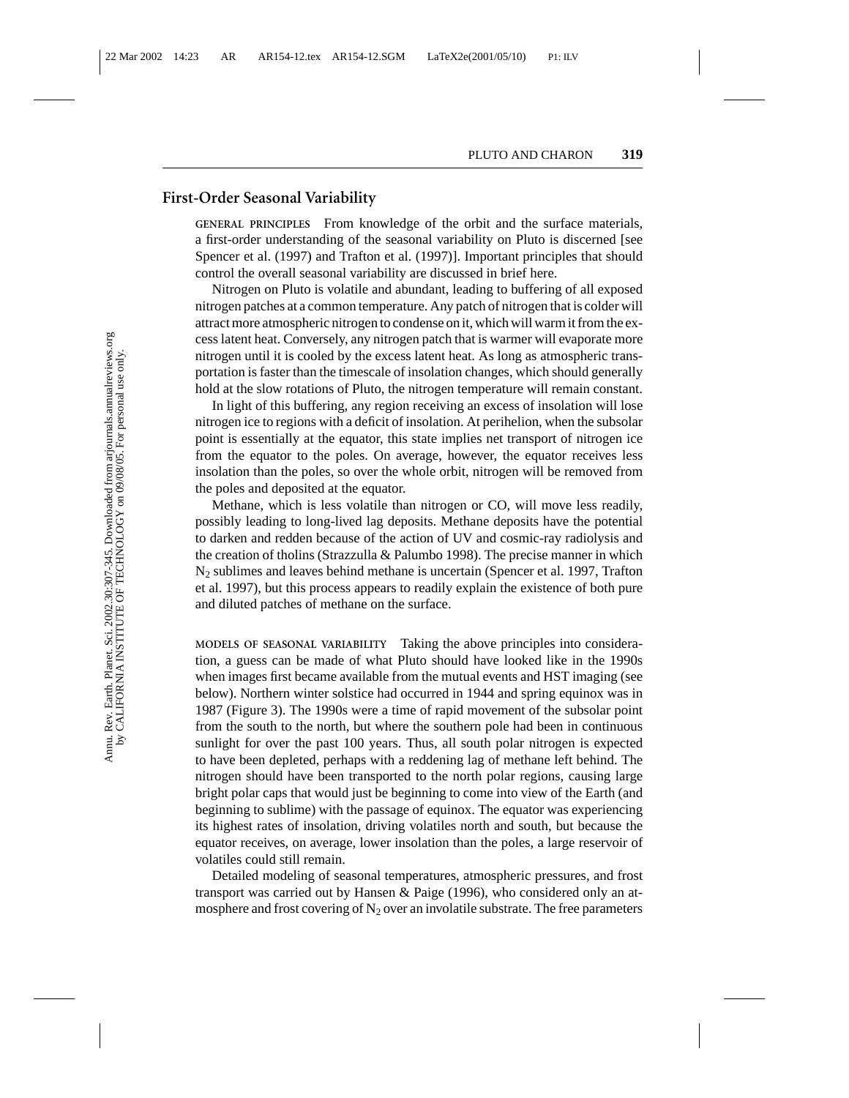#### **First-Order Seasonal Variability**

**GENERAL PRINCIPLES** From knowledge of the orbit and the surface materials, a first-order understanding of the seasonal variability on Pluto is discerned [see Spencer et al. (1997) and Trafton et al. (1997)]. Important principles that should control the overall seasonal variability are discussed in brief here.

Nitrogen on Pluto is volatile and abundant, leading to buffering of all exposed nitrogen patches at a common temperature. Any patch of nitrogen that is colder will attract more atmospheric nitrogen to condense on it, which will warm it from the excess latent heat. Conversely, any nitrogen patch that is warmer will evaporate more nitrogen until it is cooled by the excess latent heat. As long as atmospheric transportation is faster than the timescale of insolation changes, which should generally hold at the slow rotations of Pluto, the nitrogen temperature will remain constant.

In light of this buffering, any region receiving an excess of insolation will lose nitrogen ice to regions with a deficit of insolation. At perihelion, when the subsolar point is essentially at the equator, this state implies net transport of nitrogen ice from the equator to the poles. On average, however, the equator receives less insolation than the poles, so over the whole orbit, nitrogen will be removed from the poles and deposited at the equator.

Methane, which is less volatile than nitrogen or CO, will move less readily, possibly leading to long-lived lag deposits. Methane deposits have the potential to darken and redden because of the action of UV and cosmic-ray radiolysis and the creation of tholins (Strazzulla & Palumbo 1998). The precise manner in which N2 sublimes and leaves behind methane is uncertain (Spencer et al. 1997, Trafton et al. 1997), but this process appears to readily explain the existence of both pure and diluted patches of methane on the surface.

**MODELS OF SEASONAL VARIABILITY** Taking the above principles into consideration, a guess can be made of what Pluto should have looked like in the 1990s when images first became available from the mutual events and HST imaging (see below). Northern winter solstice had occurred in 1944 and spring equinox was in 1987 (Figure 3). The 1990s were a time of rapid movement of the subsolar point from the south to the north, but where the southern pole had been in continuous sunlight for over the past 100 years. Thus, all south polar nitrogen is expected to have been depleted, perhaps with a reddening lag of methane left behind. The nitrogen should have been transported to the north polar regions, causing large bright polar caps that would just be beginning to come into view of the Earth (and beginning to sublime) with the passage of equinox. The equator was experiencing its highest rates of insolation, driving volatiles north and south, but because the equator receives, on average, lower insolation than the poles, a large reservoir of volatiles could still remain.

Detailed modeling of seasonal temperatures, atmospheric pressures, and frost transport was carried out by Hansen & Paige (1996), who considered only an atmosphere and frost covering of  $N_2$  over an involatile substrate. The free parameters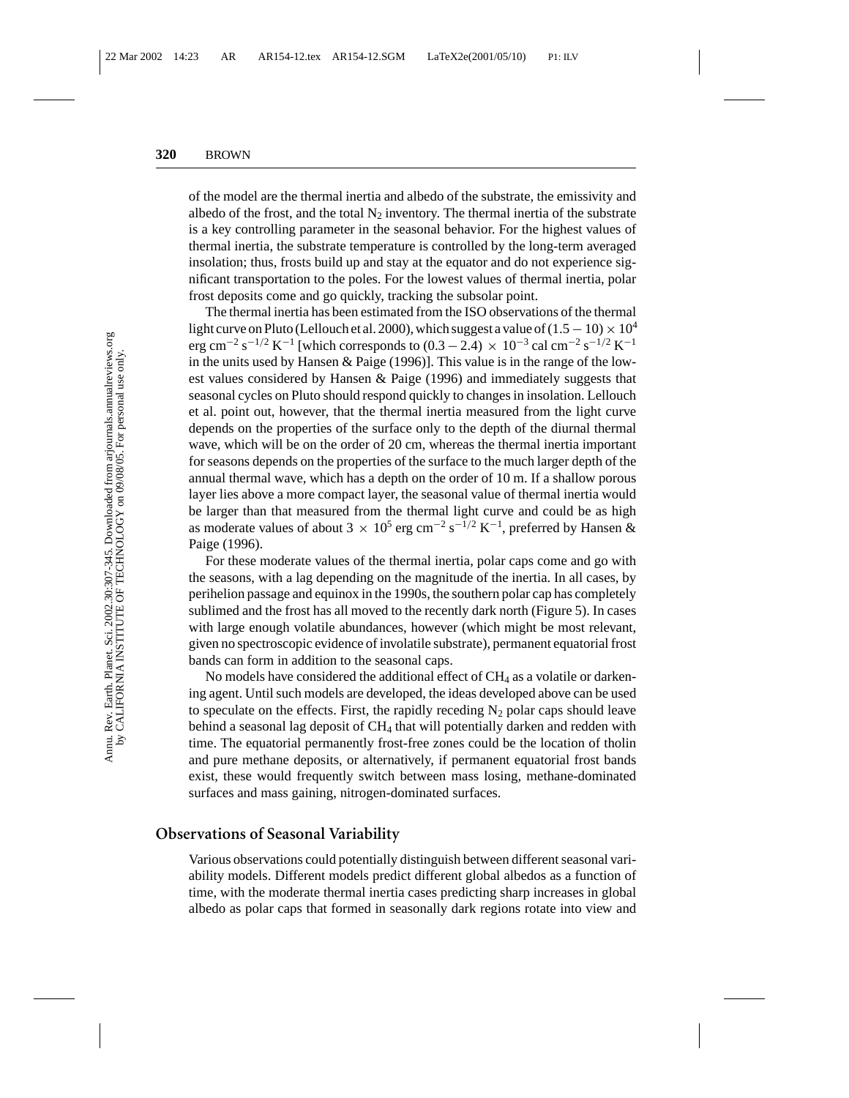of the model are the thermal inertia and albedo of the substrate, the emissivity and albedo of the frost, and the total  $N_2$  inventory. The thermal inertia of the substrate is a key controlling parameter in the seasonal behavior. For the highest values of thermal inertia, the substrate temperature is controlled by the long-term averaged insolation; thus, frosts build up and stay at the equator and do not experience significant transportation to the poles. For the lowest values of thermal inertia, polar frost deposits come and go quickly, tracking the subsolar point.

The thermal inertia has been estimated from the ISO observations of the thermal light curve on Pluto (Lellouch et al. 2000), which suggest a value of  $(1.5 - 10) \times 10^4$ erg cm<sup>-2</sup> s<sup>-1/2</sup> K<sup>-1</sup> [which corresponds to (0.3 – 2.4) × 10<sup>-3</sup> cal cm<sup>-2</sup> s<sup>-1/2</sup> K<sup>-1</sup> in the units used by Hansen & Paige (1996)]. This value is in the range of the lowest values considered by Hansen & Paige (1996) and immediately suggests that seasonal cycles on Pluto should respond quickly to changes in insolation. Lellouch et al. point out, however, that the thermal inertia measured from the light curve depends on the properties of the surface only to the depth of the diurnal thermal wave, which will be on the order of 20 cm, whereas the thermal inertia important for seasons depends on the properties of the surface to the much larger depth of the annual thermal wave, which has a depth on the order of 10 m. If a shallow porous layer lies above a more compact layer, the seasonal value of thermal inertia would be larger than that measured from the thermal light curve and could be as high as moderate values of about 3  $\times$  10<sup>5</sup> erg cm<sup>-2</sup> s<sup>-1/2</sup> K<sup>-1</sup>, preferred by Hansen & Paige (1996).

For these moderate values of the thermal inertia, polar caps come and go with the seasons, with a lag depending on the magnitude of the inertia. In all cases, by perihelion passage and equinox in the 1990s, the southern polar cap has completely sublimed and the frost has all moved to the recently dark north (Figure 5). In cases with large enough volatile abundances, however (which might be most relevant, given no spectroscopic evidence of involatile substrate), permanent equatorial frost bands can form in addition to the seasonal caps.

No models have considered the additional effect of  $CH<sub>4</sub>$  as a volatile or darkening agent. Until such models are developed, the ideas developed above can be used to speculate on the effects. First, the rapidly receding  $N_2$  polar caps should leave behind a seasonal lag deposit of  $CH_4$  that will potentially darken and redden with time. The equatorial permanently frost-free zones could be the location of tholin and pure methane deposits, or alternatively, if permanent equatorial frost bands exist, these would frequently switch between mass losing, methane-dominated surfaces and mass gaining, nitrogen-dominated surfaces.

#### **Observations of Seasonal Variability**

Various observations could potentially distinguish between different seasonal variability models. Different models predict different global albedos as a function of time, with the moderate thermal inertia cases predicting sharp increases in global albedo as polar caps that formed in seasonally dark regions rotate into view and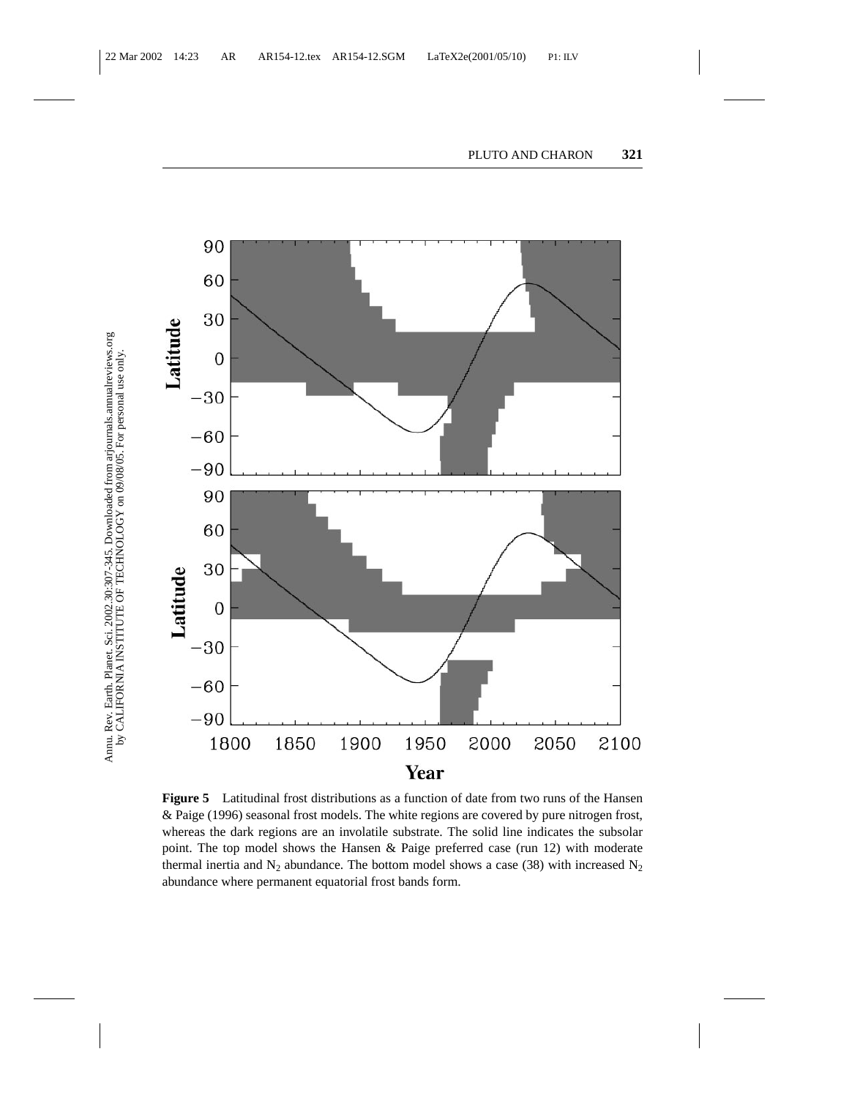

**Figure 5** Latitudinal frost distributions as a function of date from two runs of the Hansen & Paige (1996) seasonal frost models. The white regions are covered by pure nitrogen frost, whereas the dark regions are an involatile substrate. The solid line indicates the subsolar point. The top model shows the Hansen & Paige preferred case (run 12) with moderate thermal inertia and N<sub>2</sub> abundance. The bottom model shows a case (38) with increased N<sub>2</sub> abundance where permanent equatorial frost bands form.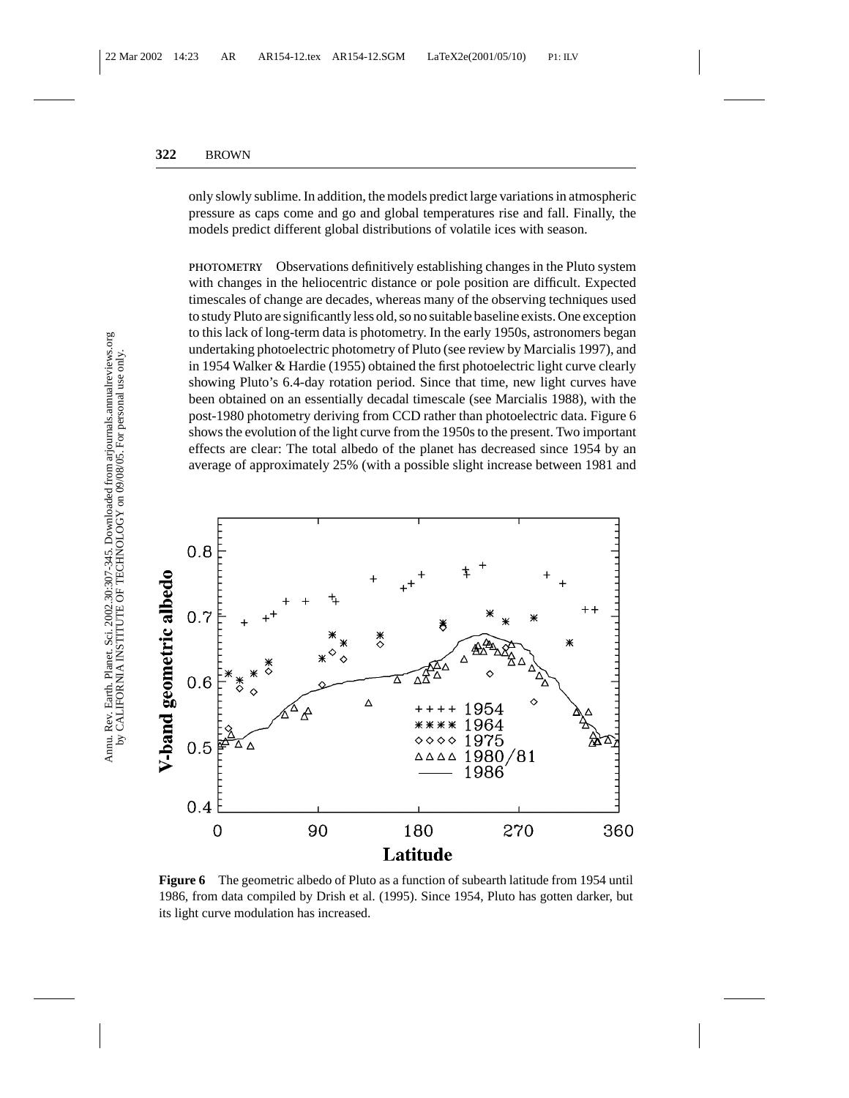only slowly sublime. In addition, the models predict large variations in atmospheric pressure as caps come and go and global temperatures rise and fall. Finally, the models predict different global distributions of volatile ices with season.

**PHOTOMETRY** Observations definitively establishing changes in the Pluto system with changes in the heliocentric distance or pole position are difficult. Expected timescales of change are decades, whereas many of the observing techniques used to study Pluto are significantly less old, so no suitable baseline exists. One exception to this lack of long-term data is photometry. In the early 1950s, astronomers began undertaking photoelectric photometry of Pluto (see review by Marcialis 1997), and in 1954 Walker & Hardie (1955) obtained the first photoelectric light curve clearly showing Pluto's 6.4-day rotation period. Since that time, new light curves have been obtained on an essentially decadal timescale (see Marcialis 1988), with the post-1980 photometry deriving from CCD rather than photoelectric data. Figure 6 shows the evolution of the light curve from the 1950s to the present. Two important effects are clear: The total albedo of the planet has decreased since 1954 by an average of approximately 25% (with a possible slight increase between 1981 and



**Figure 6** The geometric albedo of Pluto as a function of subearth latitude from 1954 until 1986, from data compiled by Drish et al. (1995). Since 1954, Pluto has gotten darker, but its light curve modulation has increased.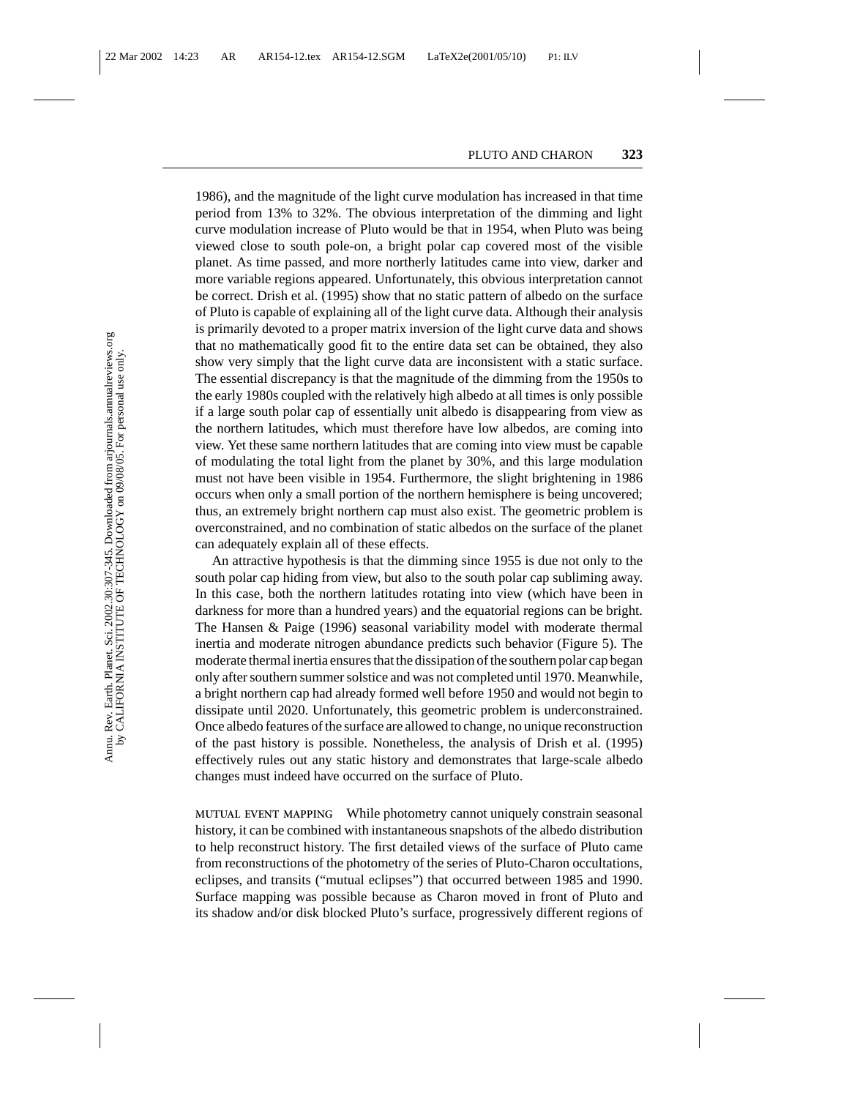1986), and the magnitude of the light curve modulation has increased in that time period from 13% to 32%. The obvious interpretation of the dimming and light curve modulation increase of Pluto would be that in 1954, when Pluto was being viewed close to south pole-on, a bright polar cap covered most of the visible planet. As time passed, and more northerly latitudes came into view, darker and more variable regions appeared. Unfortunately, this obvious interpretation cannot be correct. Drish et al. (1995) show that no static pattern of albedo on the surface of Pluto is capable of explaining all of the light curve data. Although their analysis is primarily devoted to a proper matrix inversion of the light curve data and shows that no mathematically good fit to the entire data set can be obtained, they also show very simply that the light curve data are inconsistent with a static surface. The essential discrepancy is that the magnitude of the dimming from the 1950s to the early 1980s coupled with the relatively high albedo at all times is only possible if a large south polar cap of essentially unit albedo is disappearing from view as the northern latitudes, which must therefore have low albedos, are coming into view. Yet these same northern latitudes that are coming into view must be capable of modulating the total light from the planet by 30%, and this large modulation must not have been visible in 1954. Furthermore, the slight brightening in 1986 occurs when only a small portion of the northern hemisphere is being uncovered; thus, an extremely bright northern cap must also exist. The geometric problem is overconstrained, and no combination of static albedos on the surface of the planet can adequately explain all of these effects.

An attractive hypothesis is that the dimming since 1955 is due not only to the south polar cap hiding from view, but also to the south polar cap subliming away. In this case, both the northern latitudes rotating into view (which have been in darkness for more than a hundred years) and the equatorial regions can be bright. The Hansen & Paige (1996) seasonal variability model with moderate thermal inertia and moderate nitrogen abundance predicts such behavior (Figure 5). The moderate thermal inertia ensures that the dissipation of the southern polar cap began only after southern summer solstice and was not completed until 1970. Meanwhile, a bright northern cap had already formed well before 1950 and would not begin to dissipate until 2020. Unfortunately, this geometric problem is underconstrained. Once albedo features of the surface are allowed to change, no unique reconstruction of the past history is possible. Nonetheless, the analysis of Drish et al. (1995) effectively rules out any static history and demonstrates that large-scale albedo changes must indeed have occurred on the surface of Pluto.

**MUTUAL EVENT MAPPING** While photometry cannot uniquely constrain seasonal history, it can be combined with instantaneous snapshots of the albedo distribution to help reconstruct history. The first detailed views of the surface of Pluto came from reconstructions of the photometry of the series of Pluto-Charon occultations, eclipses, and transits ("mutual eclipses") that occurred between 1985 and 1990. Surface mapping was possible because as Charon moved in front of Pluto and its shadow and/or disk blocked Pluto's surface, progressively different regions of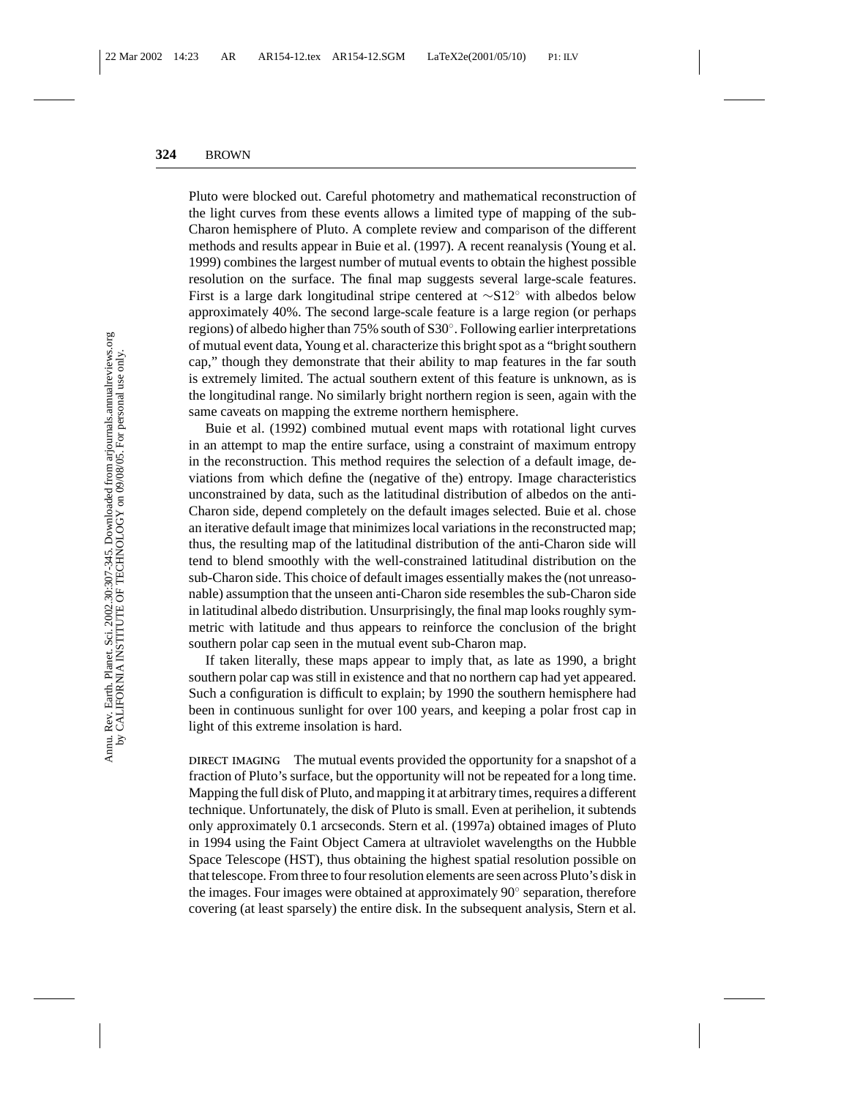Pluto were blocked out. Careful photometry and mathematical reconstruction of the light curves from these events allows a limited type of mapping of the sub-Charon hemisphere of Pluto. A complete review and comparison of the different methods and results appear in Buie et al. (1997). A recent reanalysis (Young et al. 1999) combines the largest number of mutual events to obtain the highest possible resolution on the surface. The final map suggests several large-scale features. First is a large dark longitudinal stripe centered at  $\sim$ S12° with albedos below approximately 40%. The second large-scale feature is a large region (or perhaps regions) of albedo higher than 75% south of S30◦. Following earlier interpretations of mutual event data, Young et al. characterize this bright spot as a "bright southern cap," though they demonstrate that their ability to map features in the far south is extremely limited. The actual southern extent of this feature is unknown, as is the longitudinal range. No similarly bright northern region is seen, again with the same caveats on mapping the extreme northern hemisphere.

Buie et al. (1992) combined mutual event maps with rotational light curves in an attempt to map the entire surface, using a constraint of maximum entropy in the reconstruction. This method requires the selection of a default image, deviations from which define the (negative of the) entropy. Image characteristics unconstrained by data, such as the latitudinal distribution of albedos on the anti-Charon side, depend completely on the default images selected. Buie et al. chose an iterative default image that minimizes local variations in the reconstructed map; thus, the resulting map of the latitudinal distribution of the anti-Charon side will tend to blend smoothly with the well-constrained latitudinal distribution on the sub-Charon side. This choice of default images essentially makes the (not unreasonable) assumption that the unseen anti-Charon side resembles the sub-Charon side in latitudinal albedo distribution. Unsurprisingly, the final map looks roughly symmetric with latitude and thus appears to reinforce the conclusion of the bright southern polar cap seen in the mutual event sub-Charon map.

If taken literally, these maps appear to imply that, as late as 1990, a bright southern polar cap was still in existence and that no northern cap had yet appeared. Such a configuration is difficult to explain; by 1990 the southern hemisphere had been in continuous sunlight for over 100 years, and keeping a polar frost cap in light of this extreme insolation is hard.

**DIRECT IMAGING** The mutual events provided the opportunity for a snapshot of a fraction of Pluto's surface, but the opportunity will not be repeated for a long time. Mapping the full disk of Pluto, and mapping it at arbitrary times, requires a different technique. Unfortunately, the disk of Pluto is small. Even at perihelion, it subtends only approximately 0.1 arcseconds. Stern et al. (1997a) obtained images of Pluto in 1994 using the Faint Object Camera at ultraviolet wavelengths on the Hubble Space Telescope (HST), thus obtaining the highest spatial resolution possible on that telescope. From three to four resolution elements are seen across Pluto's disk in the images. Four images were obtained at approximately 90◦ separation, therefore covering (at least sparsely) the entire disk. In the subsequent analysis, Stern et al.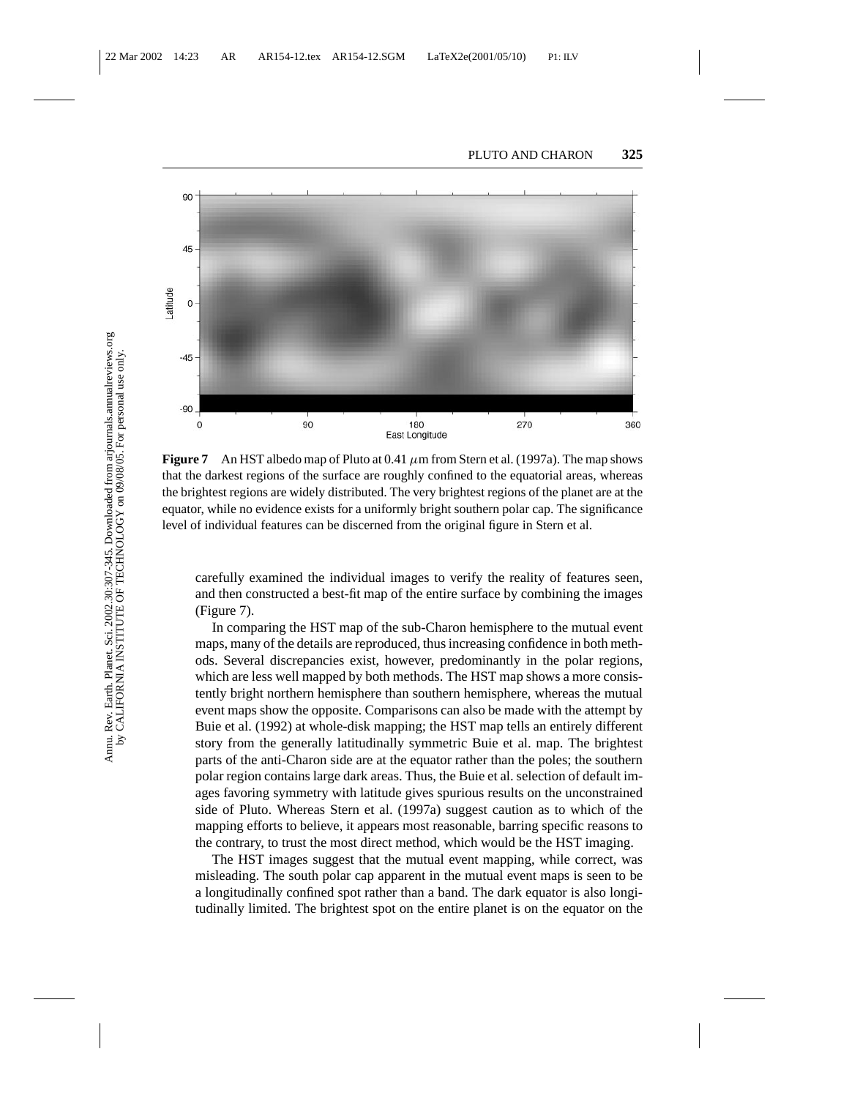

**Figure 7** An HST albedo map of Pluto at 0.41  $\mu$ m from Stern et al. (1997a). The map shows that the darkest regions of the surface are roughly confined to the equatorial areas, whereas the brightest regions are widely distributed. The very brightest regions of the planet are at the equator, while no evidence exists for a uniformly bright southern polar cap. The significance level of individual features can be discerned from the original figure in Stern et al.

carefully examined the individual images to verify the reality of features seen, and then constructed a best-fit map of the entire surface by combining the images (Figure 7).

In comparing the HST map of the sub-Charon hemisphere to the mutual event maps, many of the details are reproduced, thus increasing confidence in both methods. Several discrepancies exist, however, predominantly in the polar regions, which are less well mapped by both methods. The HST map shows a more consistently bright northern hemisphere than southern hemisphere, whereas the mutual event maps show the opposite. Comparisons can also be made with the attempt by Buie et al. (1992) at whole-disk mapping; the HST map tells an entirely different story from the generally latitudinally symmetric Buie et al. map. The brightest parts of the anti-Charon side are at the equator rather than the poles; the southern polar region contains large dark areas. Thus, the Buie et al. selection of default images favoring symmetry with latitude gives spurious results on the unconstrained side of Pluto. Whereas Stern et al. (1997a) suggest caution as to which of the mapping efforts to believe, it appears most reasonable, barring specific reasons to the contrary, to trust the most direct method, which would be the HST imaging.

The HST images suggest that the mutual event mapping, while correct, was misleading. The south polar cap apparent in the mutual event maps is seen to be a longitudinally confined spot rather than a band. The dark equator is also longitudinally limited. The brightest spot on the entire planet is on the equator on the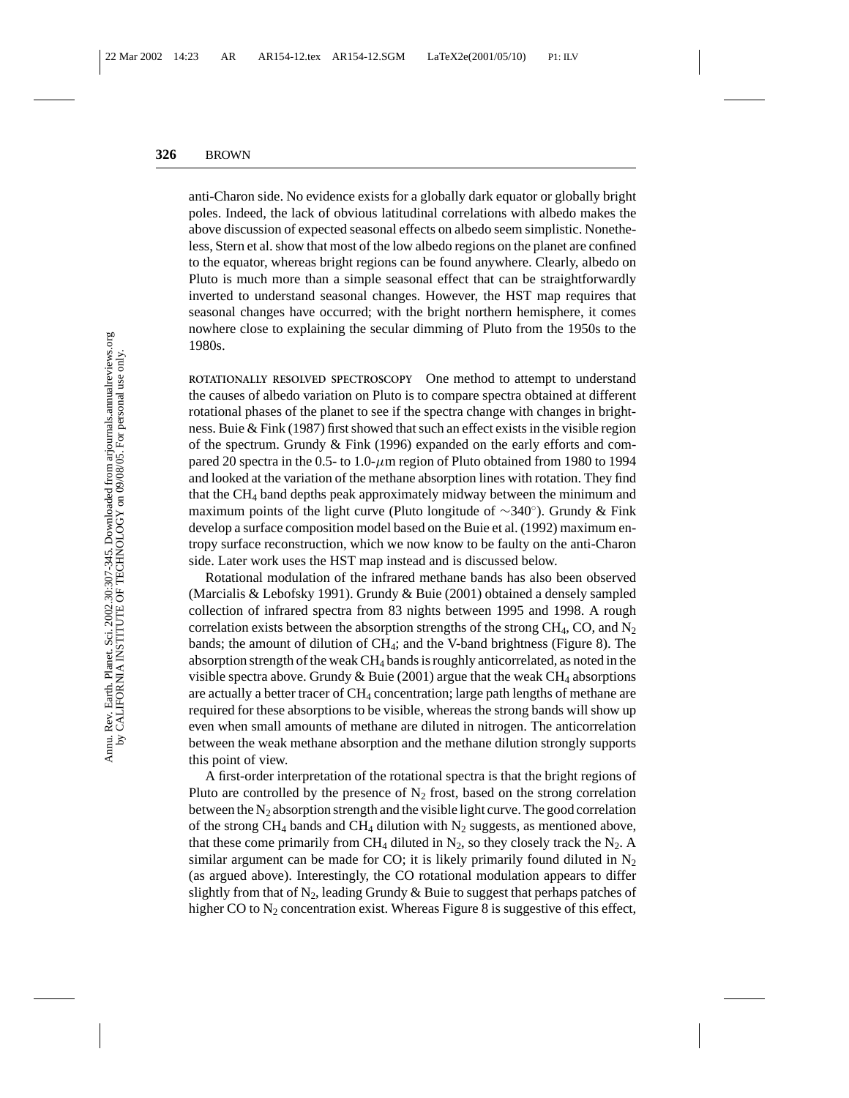anti-Charon side. No evidence exists for a globally dark equator or globally bright poles. Indeed, the lack of obvious latitudinal correlations with albedo makes the above discussion of expected seasonal effects on albedo seem simplistic. Nonetheless, Stern et al. show that most of the low albedo regions on the planet are confined to the equator, whereas bright regions can be found anywhere. Clearly, albedo on Pluto is much more than a simple seasonal effect that can be straightforwardly inverted to understand seasonal changes. However, the HST map requires that seasonal changes have occurred; with the bright northern hemisphere, it comes nowhere close to explaining the secular dimming of Pluto from the 1950s to the 1980s.

**ROTATIONALLY RESOLVED SPECTROSCOPY** One method to attempt to understand the causes of albedo variation on Pluto is to compare spectra obtained at different rotational phases of the planet to see if the spectra change with changes in brightness. Buie & Fink (1987) first showed that such an effect exists in the visible region of the spectrum. Grundy & Fink (1996) expanded on the early efforts and compared 20 spectra in the 0.5- to 1.0- $\mu$ m region of Pluto obtained from 1980 to 1994 and looked at the variation of the methane absorption lines with rotation. They find that the CH4 band depths peak approximately midway between the minimum and maximum points of the light curve (Pluto longitude of ∼340◦). Grundy & Fink develop a surface composition model based on the Buie et al. (1992) maximum entropy surface reconstruction, which we now know to be faulty on the anti-Charon side. Later work uses the HST map instead and is discussed below.

Rotational modulation of the infrared methane bands has also been observed (Marcialis & Lebofsky 1991). Grundy & Buie (2001) obtained a densely sampled collection of infrared spectra from 83 nights between 1995 and 1998. A rough correlation exists between the absorption strengths of the strong  $CH_4$ , CO, and N<sub>2</sub> bands; the amount of dilution of  $CH_4$ ; and the V-band brightness (Figure 8). The absorption strength of the weak CH4 bands is roughly anticorrelated, as noted in the visible spectra above. Grundy & Buie (2001) argue that the weak  $CH_4$  absorptions are actually a better tracer of  $CH_4$  concentration; large path lengths of methane are required for these absorptions to be visible, whereas the strong bands will show up even when small amounts of methane are diluted in nitrogen. The anticorrelation between the weak methane absorption and the methane dilution strongly supports this point of view.

A first-order interpretation of the rotational spectra is that the bright regions of Pluto are controlled by the presence of  $N_2$  frost, based on the strong correlation between the  $N_2$  absorption strength and the visible light curve. The good correlation of the strong CH<sub>4</sub> bands and CH<sub>4</sub> dilution with  $N_2$  suggests, as mentioned above, that these come primarily from CH<sub>4</sub> diluted in  $N_2$ , so they closely track the  $N_2$ . A similar argument can be made for CO; it is likely primarily found diluted in  $N_2$ (as argued above). Interestingly, the CO rotational modulation appears to differ slightly from that of  $N_2$ , leading Grundy & Buie to suggest that perhaps patches of higher CO to  $N_2$  concentration exist. Whereas Figure 8 is suggestive of this effect,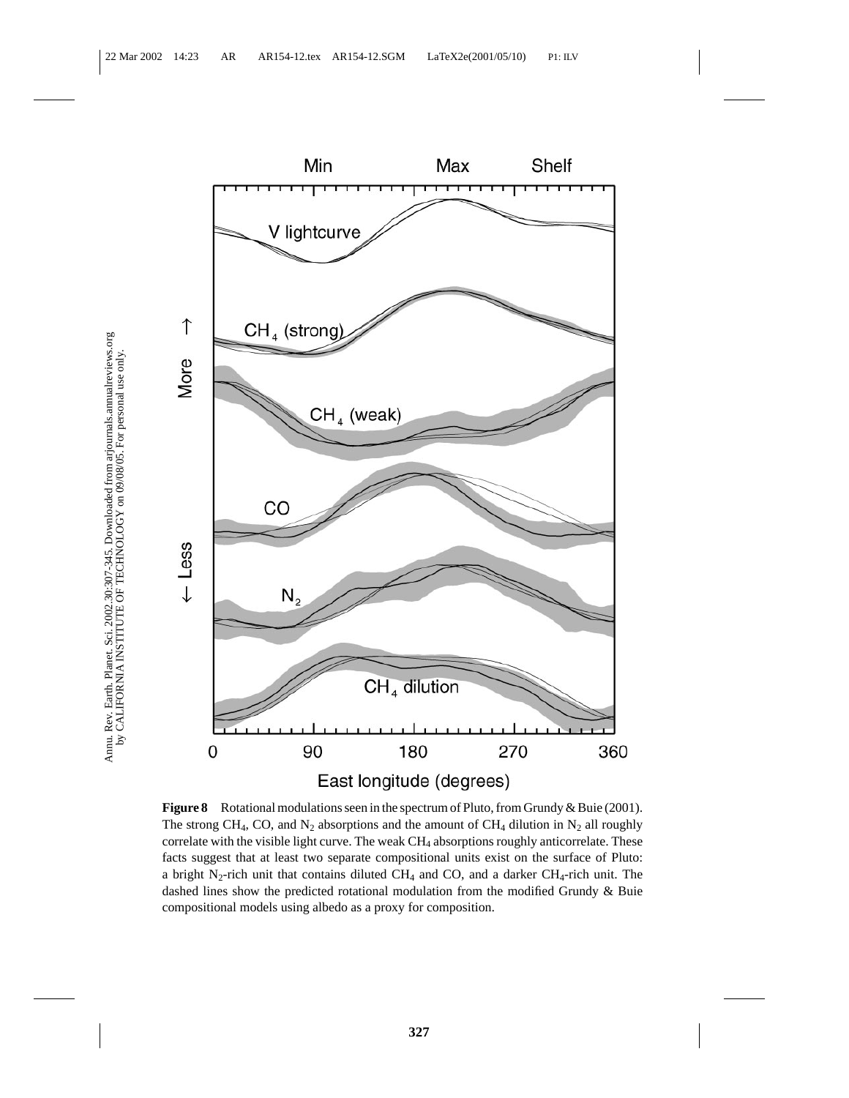

**Figure 8** Rotational modulations seen in the spectrum of Pluto, from Grundy & Buie (2001). The strong CH<sub>4</sub>, CO, and N<sub>2</sub> absorptions and the amount of CH<sub>4</sub> dilution in N<sub>2</sub> all roughly correlate with the visible light curve. The weak  $CH<sub>4</sub>$  absorptions roughly anticorrelate. These facts suggest that at least two separate compositional units exist on the surface of Pluto: a bright N<sub>2</sub>-rich unit that contains diluted CH<sub>4</sub> and CO, and a darker CH<sub>4</sub>-rich unit. The dashed lines show the predicted rotational modulation from the modified Grundy & Buie compositional models using albedo as a proxy for composition.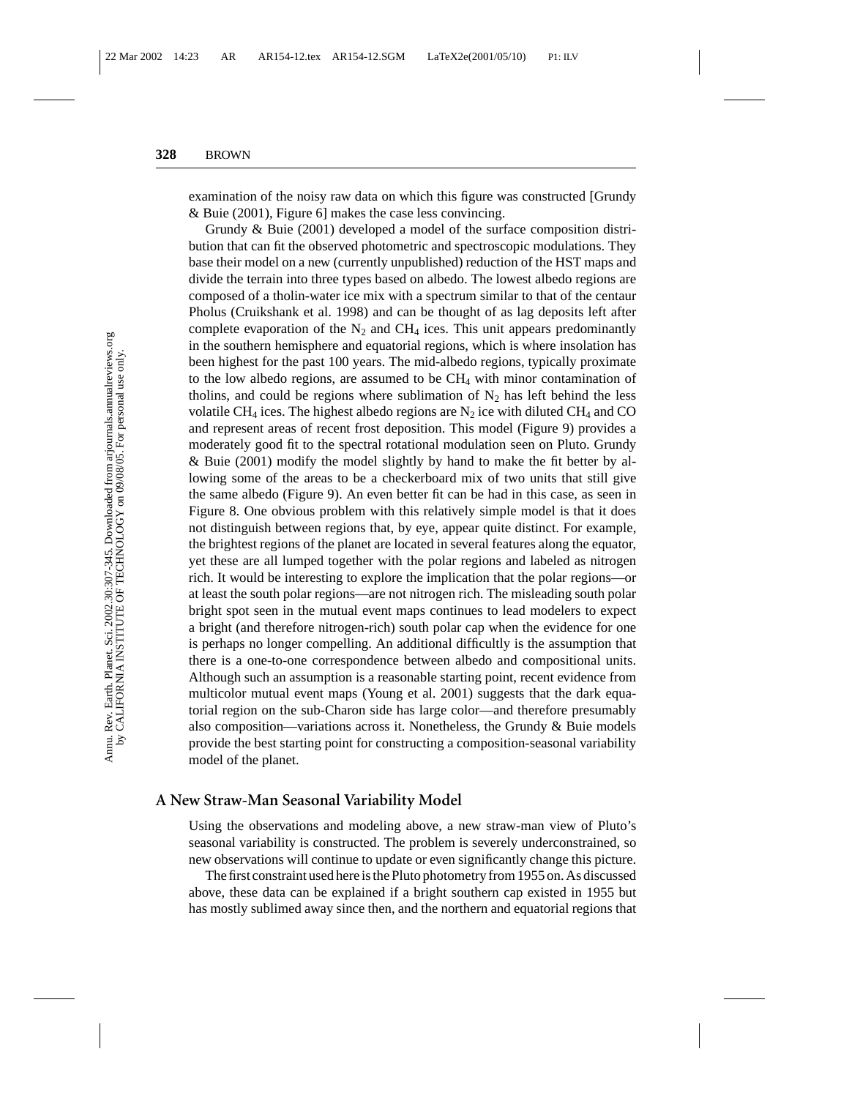examination of the noisy raw data on which this figure was constructed [Grundy & Buie (2001), Figure 6] makes the case less convincing.

Grundy & Buie (2001) developed a model of the surface composition distribution that can fit the observed photometric and spectroscopic modulations. They base their model on a new (currently unpublished) reduction of the HST maps and divide the terrain into three types based on albedo. The lowest albedo regions are composed of a tholin-water ice mix with a spectrum similar to that of the centaur Pholus (Cruikshank et al. 1998) and can be thought of as lag deposits left after complete evaporation of the  $N_2$  and CH<sub>4</sub> ices. This unit appears predominantly in the southern hemisphere and equatorial regions, which is where insolation has been highest for the past 100 years. The mid-albedo regions, typically proximate to the low albedo regions, are assumed to be  $CH<sub>4</sub>$  with minor contamination of tholins, and could be regions where sublimation of  $N_2$  has left behind the less volatile CH<sub>4</sub> ices. The highest albedo regions are  $N_2$  ice with diluted CH<sub>4</sub> and CO and represent areas of recent frost deposition. This model (Figure 9) provides a moderately good fit to the spectral rotational modulation seen on Pluto. Grundy & Buie (2001) modify the model slightly by hand to make the fit better by allowing some of the areas to be a checkerboard mix of two units that still give the same albedo (Figure 9). An even better fit can be had in this case, as seen in Figure 8. One obvious problem with this relatively simple model is that it does not distinguish between regions that, by eye, appear quite distinct. For example, the brightest regions of the planet are located in several features along the equator, yet these are all lumped together with the polar regions and labeled as nitrogen rich. It would be interesting to explore the implication that the polar regions—or at least the south polar regions—are not nitrogen rich. The misleading south polar bright spot seen in the mutual event maps continues to lead modelers to expect a bright (and therefore nitrogen-rich) south polar cap when the evidence for one is perhaps no longer compelling. An additional difficultly is the assumption that there is a one-to-one correspondence between albedo and compositional units. Although such an assumption is a reasonable starting point, recent evidence from multicolor mutual event maps (Young et al. 2001) suggests that the dark equatorial region on the sub-Charon side has large color—and therefore presumably also composition—variations across it. Nonetheless, the Grundy & Buie models provide the best starting point for constructing a composition-seasonal variability model of the planet.

#### **A New Straw-Man Seasonal Variability Model**

Using the observations and modeling above, a new straw-man view of Pluto's seasonal variability is constructed. The problem is severely underconstrained, so new observations will continue to update or even significantly change this picture.

The first constraint used here is the Pluto photometry from 1955 on. As discussed above, these data can be explained if a bright southern cap existed in 1955 but has mostly sublimed away since then, and the northern and equatorial regions that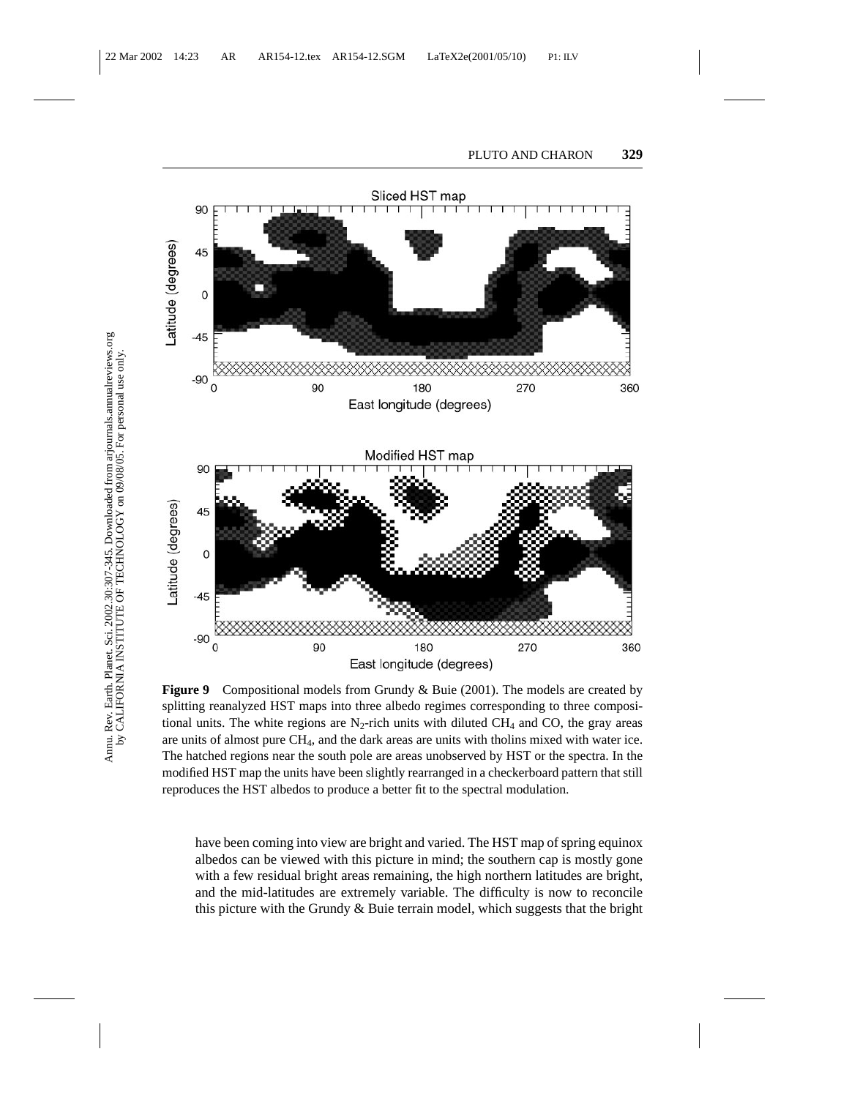

**Figure 9** Compositional models from Grundy & Buie (2001). The models are created by splitting reanalyzed HST maps into three albedo regimes corresponding to three compositional units. The white regions are  $N_2$ -rich units with diluted CH<sub>4</sub> and CO, the gray areas are units of almost pure  $CH<sub>4</sub>$ , and the dark areas are units with tholins mixed with water ice. The hatched regions near the south pole are areas unobserved by HST or the spectra. In the modified HST map the units have been slightly rearranged in a checkerboard pattern that still reproduces the HST albedos to produce a better fit to the spectral modulation.

have been coming into view are bright and varied. The HST map of spring equinox albedos can be viewed with this picture in mind; the southern cap is mostly gone with a few residual bright areas remaining, the high northern latitudes are bright, and the mid-latitudes are extremely variable. The difficulty is now to reconcile this picture with the Grundy  $\&$  Buie terrain model, which suggests that the bright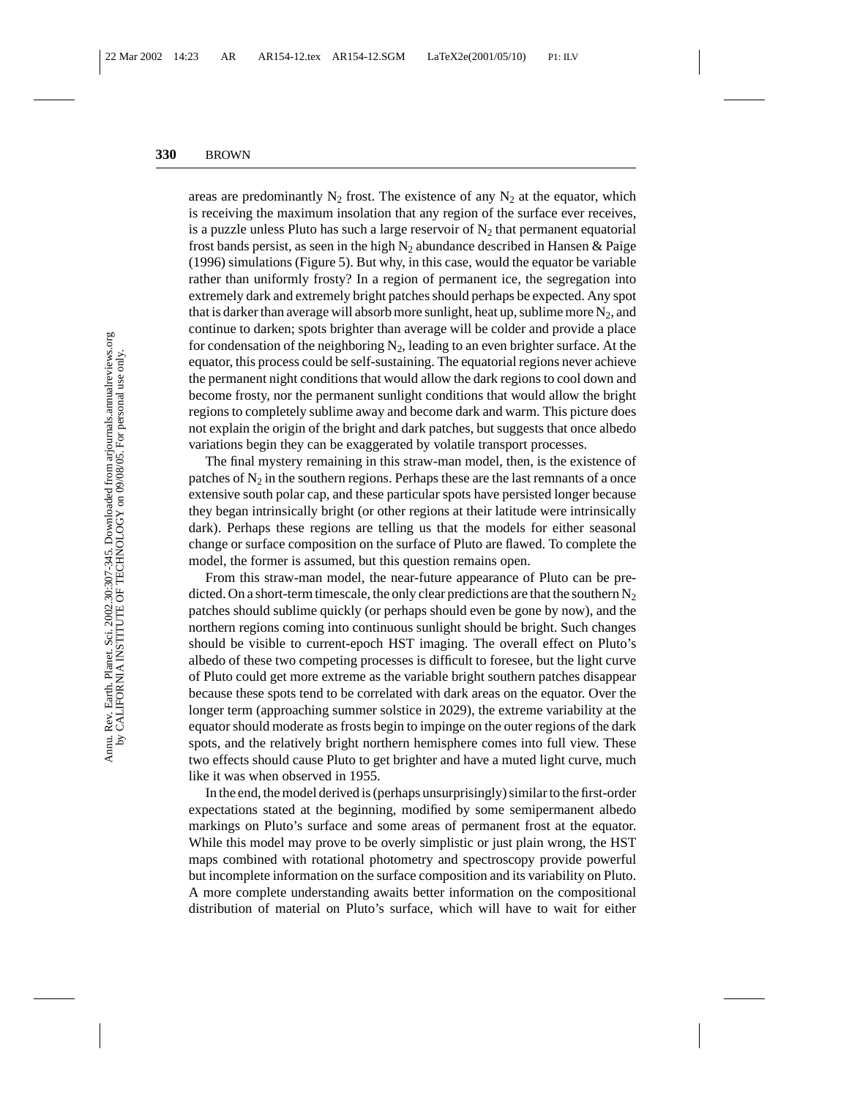areas are predominantly  $N_2$  frost. The existence of any  $N_2$  at the equator, which is receiving the maximum insolation that any region of the surface ever receives, is a puzzle unless Pluto has such a large reservoir of  $N_2$  that permanent equatorial frost bands persist, as seen in the high  $N_2$  abundance described in Hansen & Paige (1996) simulations (Figure 5). But why, in this case, would the equator be variable rather than uniformly frosty? In a region of permanent ice, the segregation into extremely dark and extremely bright patches should perhaps be expected. Any spot that is darker than average will absorb more sunlight, heat up, sublime more  $N_2$ , and continue to darken; spots brighter than average will be colder and provide a place for condensation of the neighboring  $N_2$ , leading to an even brighter surface. At the equator, this process could be self-sustaining. The equatorial regions never achieve the permanent night conditions that would allow the dark regions to cool down and become frosty, nor the permanent sunlight conditions that would allow the bright regions to completely sublime away and become dark and warm. This picture does not explain the origin of the bright and dark patches, but suggests that once albedo variations begin they can be exaggerated by volatile transport processes.

The final mystery remaining in this straw-man model, then, is the existence of patches of  $N_2$  in the southern regions. Perhaps these are the last remnants of a once extensive south polar cap, and these particular spots have persisted longer because they began intrinsically bright (or other regions at their latitude were intrinsically dark). Perhaps these regions are telling us that the models for either seasonal change or surface composition on the surface of Pluto are flawed. To complete the model, the former is assumed, but this question remains open.

From this straw-man model, the near-future appearance of Pluto can be predicted. On a short-term timescale, the only clear predictions are that the southern  $N_2$ patches should sublime quickly (or perhaps should even be gone by now), and the northern regions coming into continuous sunlight should be bright. Such changes should be visible to current-epoch HST imaging. The overall effect on Pluto's albedo of these two competing processes is difficult to foresee, but the light curve of Pluto could get more extreme as the variable bright southern patches disappear because these spots tend to be correlated with dark areas on the equator. Over the longer term (approaching summer solstice in 2029), the extreme variability at the equator should moderate as frosts begin to impinge on the outer regions of the dark spots, and the relatively bright northern hemisphere comes into full view. These two effects should cause Pluto to get brighter and have a muted light curve, much like it was when observed in 1955.

In the end, the model derived is (perhaps unsurprisingly) similar to the first-order expectations stated at the beginning, modified by some semipermanent albedo markings on Pluto's surface and some areas of permanent frost at the equator. While this model may prove to be overly simplistic or just plain wrong, the HST maps combined with rotational photometry and spectroscopy provide powerful but incomplete information on the surface composition and its variability on Pluto. A more complete understanding awaits better information on the compositional distribution of material on Pluto's surface, which will have to wait for either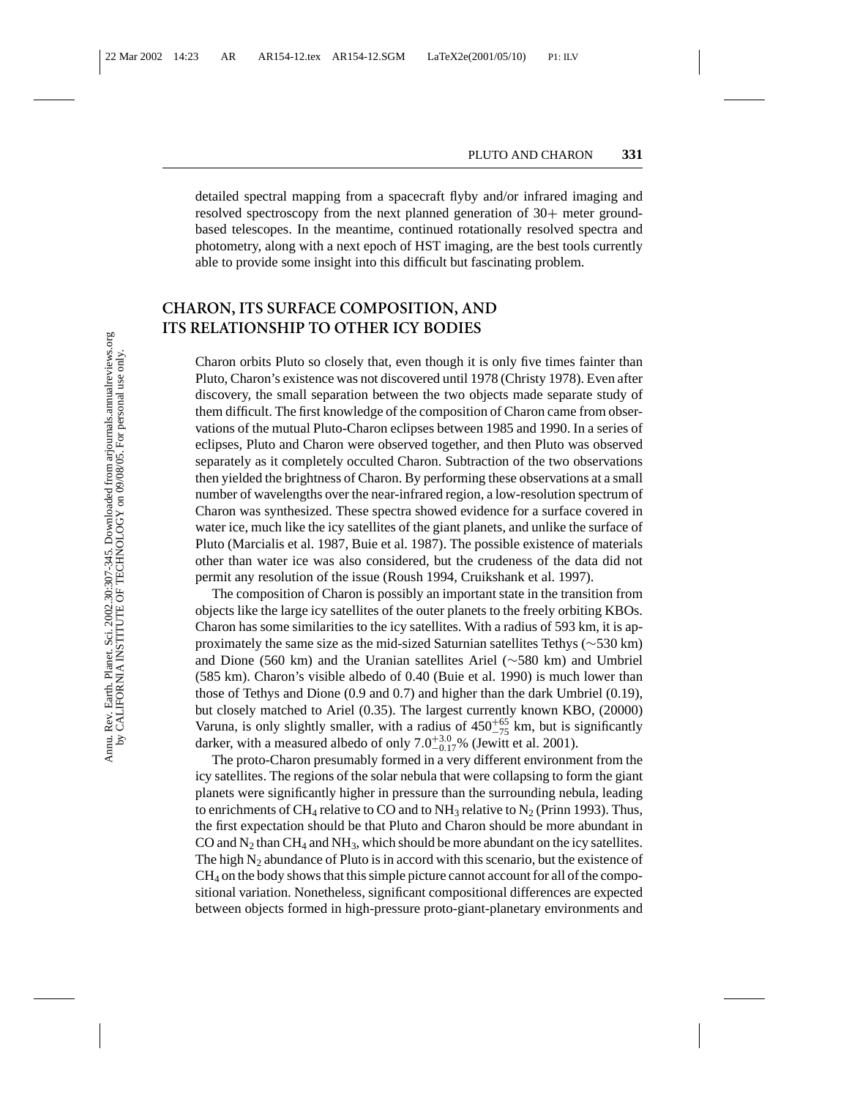detailed spectral mapping from a spacecraft flyby and/or infrared imaging and resolved spectroscopy from the next planned generation of 30+ meter groundbased telescopes. In the meantime, continued rotationally resolved spectra and photometry, along with a next epoch of HST imaging, are the best tools currently able to provide some insight into this difficult but fascinating problem.

## **CHARON, ITS SURFACE COMPOSITION, AND ITS RELATIONSHIP TO OTHER ICY BODIES**

Charon orbits Pluto so closely that, even though it is only five times fainter than Pluto, Charon's existence was not discovered until 1978 (Christy 1978). Even after discovery, the small separation between the two objects made separate study of them difficult. The first knowledge of the composition of Charon came from observations of the mutual Pluto-Charon eclipses between 1985 and 1990. In a series of eclipses, Pluto and Charon were observed together, and then Pluto was observed separately as it completely occulted Charon. Subtraction of the two observations then yielded the brightness of Charon. By performing these observations at a small number of wavelengths over the near-infrared region, a low-resolution spectrum of Charon was synthesized. These spectra showed evidence for a surface covered in water ice, much like the icy satellites of the giant planets, and unlike the surface of Pluto (Marcialis et al. 1987, Buie et al. 1987). The possible existence of materials other than water ice was also considered, but the crudeness of the data did not permit any resolution of the issue (Roush 1994, Cruikshank et al. 1997).

The composition of Charon is possibly an important state in the transition from objects like the large icy satellites of the outer planets to the freely orbiting KBOs. Charon has some similarities to the icy satellites. With a radius of 593 km, it is approximately the same size as the mid-sized Saturnian satellites Tethys (∼530 km) and Dione (560 km) and the Uranian satellites Ariel (∼580 km) and Umbriel (585 km). Charon's visible albedo of 0.40 (Buie et al. 1990) is much lower than those of Tethys and Dione (0.9 and 0.7) and higher than the dark Umbriel (0.19), but closely matched to Ariel (0.35). The largest currently known KBO, (20000) Varuna, is only slightly smaller, with a radius of  $450^{+65}_{-75}$  km, but is significantly darker, with a measured albedo of only  $7.0^{+3.0}_{-0.17}$ % (Jewitt et al. 2001).

The proto-Charon presumably formed in a very different environment from the icy satellites. The regions of the solar nebula that were collapsing to form the giant planets were significantly higher in pressure than the surrounding nebula, leading to enrichments of CH<sub>4</sub> relative to CO and to NH<sub>3</sub> relative to N<sub>2</sub> (Prinn 1993). Thus, the first expectation should be that Pluto and Charon should be more abundant in CO and  $N_2$  than CH<sub>4</sub> and NH<sub>3</sub>, which should be more abundant on the icy satellites. The high  $N_2$  abundance of Pluto is in accord with this scenario, but the existence of  $CH<sub>4</sub>$  on the body shows that this simple picture cannot account for all of the compositional variation. Nonetheless, significant compositional differences are expected between objects formed in high-pressure proto-giant-planetary environments and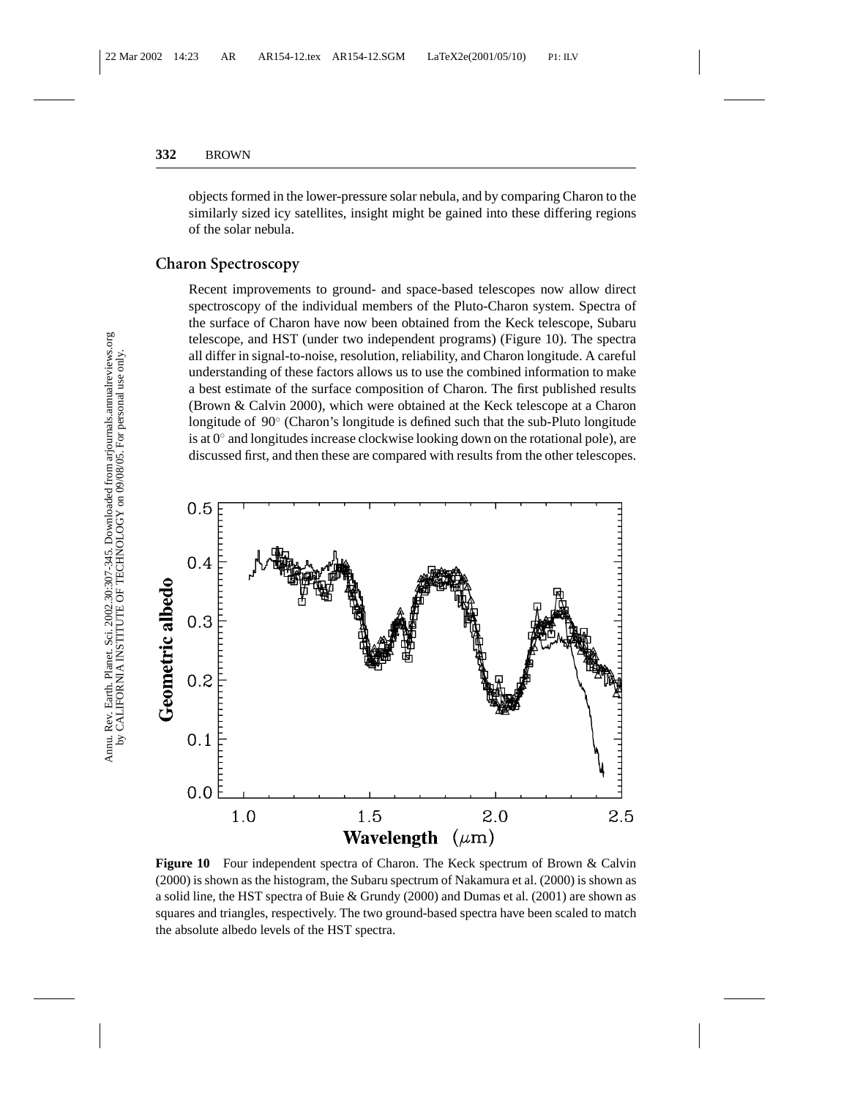objects formed in the lower-pressure solar nebula, and by comparing Charon to the similarly sized icy satellites, insight might be gained into these differing regions of the solar nebula.

### **Charon Spectroscopy**

Recent improvements to ground- and space-based telescopes now allow direct spectroscopy of the individual members of the Pluto-Charon system. Spectra of the surface of Charon have now been obtained from the Keck telescope, Subaru telescope, and HST (under two independent programs) (Figure 10). The spectra all differ in signal-to-noise, resolution, reliability, and Charon longitude. A careful understanding of these factors allows us to use the combined information to make a best estimate of the surface composition of Charon. The first published results (Brown & Calvin 2000), which were obtained at the Keck telescope at a Charon longitude of 90◦ (Charon's longitude is defined such that the sub-Pluto longitude is at  $0°$  and longitudes increase clockwise looking down on the rotational pole), are discussed first, and then these are compared with results from the other telescopes.



**Figure 10** Four independent spectra of Charon. The Keck spectrum of Brown & Calvin (2000) is shown as the histogram, the Subaru spectrum of Nakamura et al. (2000) is shown as a solid line, the HST spectra of Buie & Grundy (2000) and Dumas et al. (2001) are shown as squares and triangles, respectively. The two ground-based spectra have been scaled to match the absolute albedo levels of the HST spectra.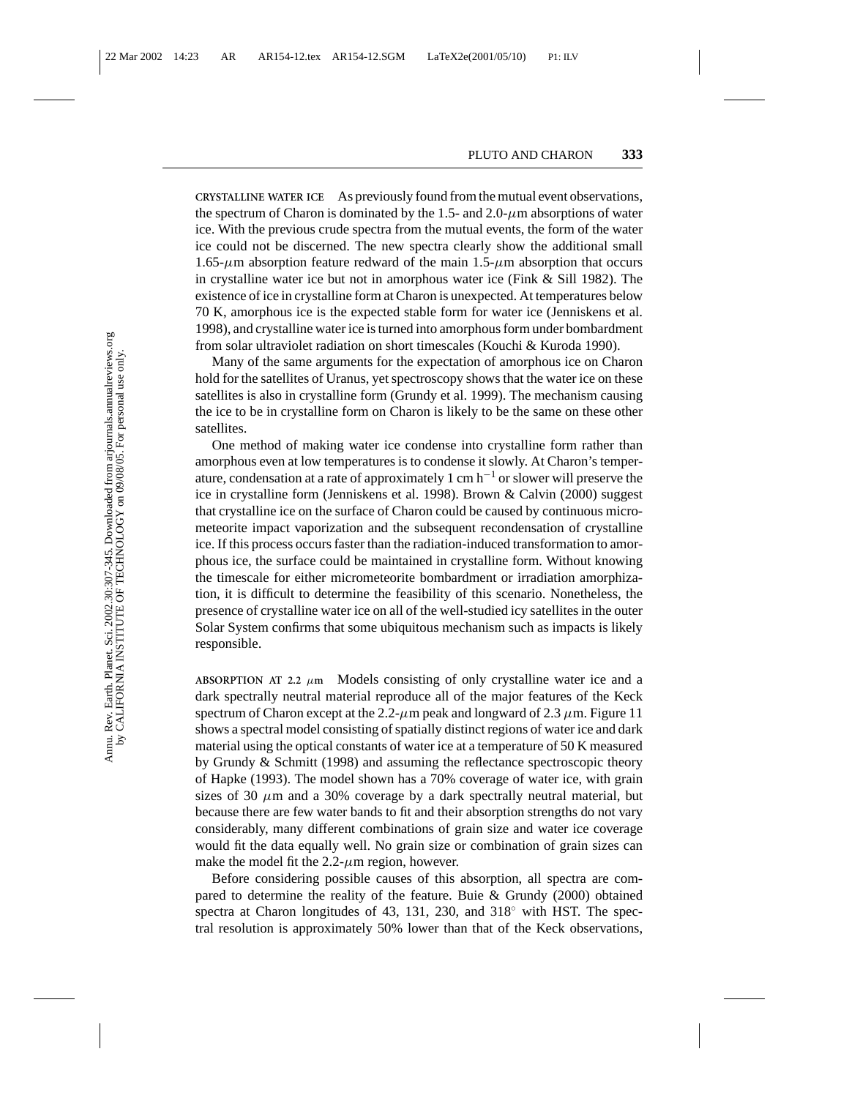**CRYSTALLINE WATER ICE** As previously found from the mutual event observations, the spectrum of Charon is dominated by the 1.5- and 2.0- $\mu$ m absorptions of water ice. With the previous crude spectra from the mutual events, the form of the water ice could not be discerned. The new spectra clearly show the additional small  $1.65-\mu m$  absorption feature redward of the main  $1.5-\mu m$  absorption that occurs in crystalline water ice but not in amorphous water ice (Fink & Sill 1982). The existence of ice in crystalline form at Charon is unexpected. At temperatures below 70 K, amorphous ice is the expected stable form for water ice (Jenniskens et al. 1998), and crystalline water ice is turned into amorphous form under bombardment from solar ultraviolet radiation on short timescales (Kouchi & Kuroda 1990).

Many of the same arguments for the expectation of amorphous ice on Charon hold for the satellites of Uranus, yet spectroscopy shows that the water ice on these satellites is also in crystalline form (Grundy et al. 1999). The mechanism causing the ice to be in crystalline form on Charon is likely to be the same on these other satellites.

One method of making water ice condense into crystalline form rather than amorphous even at low temperatures is to condense it slowly. At Charon's temperature, condensation at a rate of approximately 1 cm h−<sup>1</sup> or slower will preserve the ice in crystalline form (Jenniskens et al. 1998). Brown & Calvin (2000) suggest that crystalline ice on the surface of Charon could be caused by continuous micrometeorite impact vaporization and the subsequent recondensation of crystalline ice. If this process occurs faster than the radiation-induced transformation to amorphous ice, the surface could be maintained in crystalline form. Without knowing the timescale for either micrometeorite bombardment or irradiation amorphization, it is difficult to determine the feasibility of this scenario. Nonetheless, the presence of crystalline water ice on all of the well-studied icy satellites in the outer Solar System confirms that some ubiquitous mechanism such as impacts is likely responsible.

ABSORPTION AT 2.2  $\mu$ m Models consisting of only crystalline water ice and a dark spectrally neutral material reproduce all of the major features of the Keck spectrum of Charon except at the 2.2- $\mu$ m peak and longward of 2.3  $\mu$ m. Figure 11 shows a spectral model consisting of spatially distinct regions of water ice and dark material using the optical constants of water ice at a temperature of 50 K measured by Grundy & Schmitt (1998) and assuming the reflectance spectroscopic theory of Hapke (1993). The model shown has a 70% coverage of water ice, with grain sizes of 30  $\mu$ m and a 30% coverage by a dark spectrally neutral material, but because there are few water bands to fit and their absorption strengths do not vary considerably, many different combinations of grain size and water ice coverage would fit the data equally well. No grain size or combination of grain sizes can make the model fit the  $2.2$ - $\mu$ m region, however.

Before considering possible causes of this absorption, all spectra are compared to determine the reality of the feature. Buie & Grundy (2000) obtained spectra at Charon longitudes of 43, 131, 230, and  $318°$  with HST. The spectral resolution is approximately 50% lower than that of the Keck observations,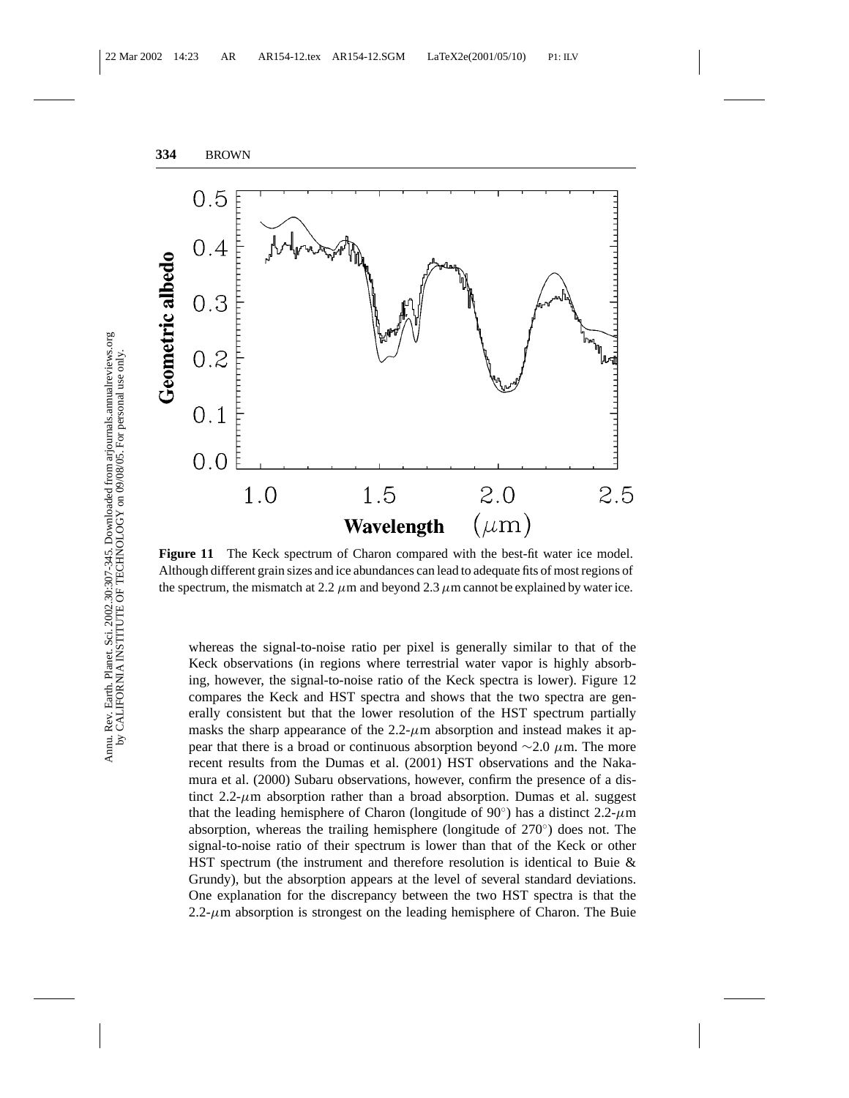

**Figure 11** The Keck spectrum of Charon compared with the best-fit water ice model. Although different grain sizes and ice abundances can lead to adequate fits of most regions of the spectrum, the mismatch at 2.2  $\mu$ m and beyond 2.3  $\mu$ m cannot be explained by water ice.

whereas the signal-to-noise ratio per pixel is generally similar to that of the Keck observations (in regions where terrestrial water vapor is highly absorbing, however, the signal-to-noise ratio of the Keck spectra is lower). Figure 12 compares the Keck and HST spectra and shows that the two spectra are generally consistent but that the lower resolution of the HST spectrum partially masks the sharp appearance of the  $2.2-\mu$ m absorption and instead makes it appear that there is a broad or continuous absorption beyond  $\sim$ 2.0 µm. The more recent results from the Dumas et al. (2001) HST observations and the Nakamura et al. (2000) Subaru observations, however, confirm the presence of a distinct  $2.2-\mu$ m absorption rather than a broad absorption. Dumas et al. suggest that the leading hemisphere of Charon (longitude of  $90°$ ) has a distinct 2.2- $\mu$ m absorption, whereas the trailing hemisphere (longitude of 270◦) does not. The signal-to-noise ratio of their spectrum is lower than that of the Keck or other HST spectrum (the instrument and therefore resolution is identical to Buie & Grundy), but the absorption appears at the level of several standard deviations. One explanation for the discrepancy between the two HST spectra is that the 2.2- $\mu$ m absorption is strongest on the leading hemisphere of Charon. The Buie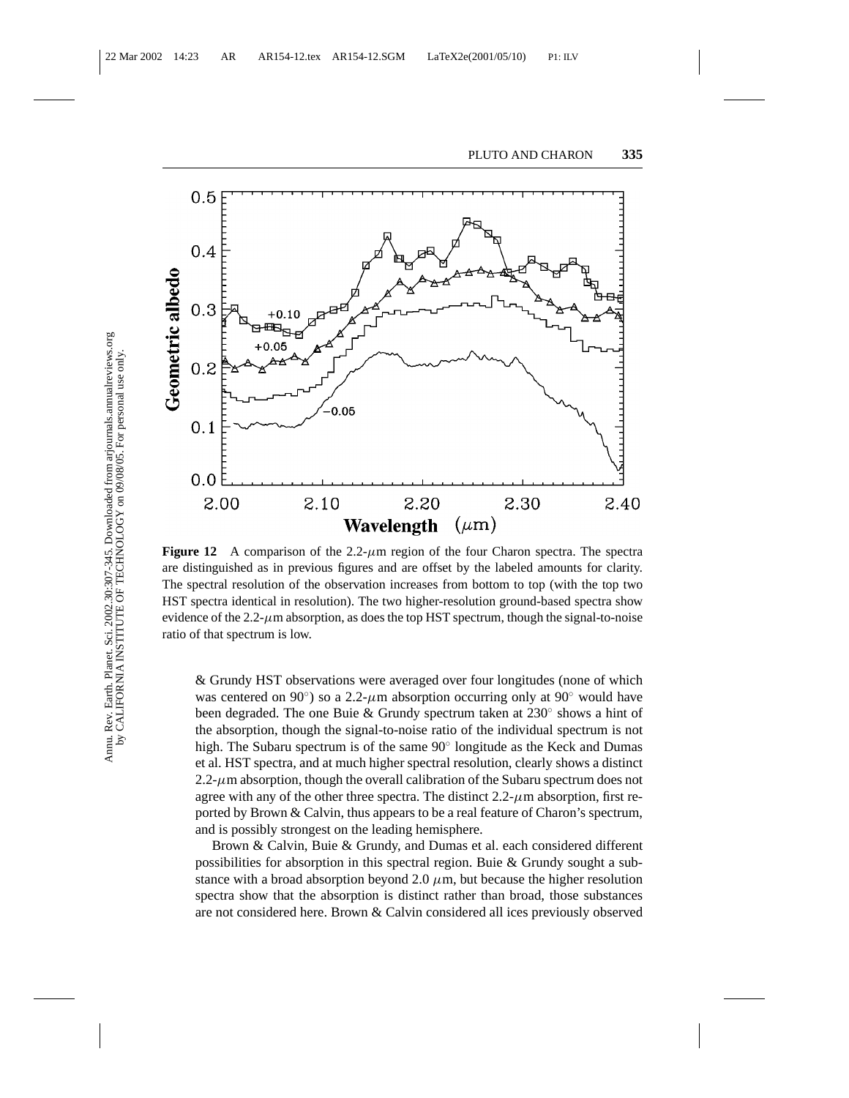

**Figure 12** A comparison of the  $2.2-\mu m$  region of the four Charon spectra. The spectra are distinguished as in previous figures and are offset by the labeled amounts for clarity. The spectral resolution of the observation increases from bottom to top (with the top two HST spectra identical in resolution). The two higher-resolution ground-based spectra show evidence of the  $2.2-\mu$ m absorption, as does the top HST spectrum, though the signal-to-noise ratio of that spectrum is low.

& Grundy HST observations were averaged over four longitudes (none of which was centered on 90°) so a 2.2- $\mu$ m absorption occurring only at 90° would have been degraded. The one Buie & Grundy spectrum taken at 230◦ shows a hint of the absorption, though the signal-to-noise ratio of the individual spectrum is not high. The Subaru spectrum is of the same 90◦ longitude as the Keck and Dumas et al. HST spectra, and at much higher spectral resolution, clearly shows a distinct  $2.2$ - $\mu$ m absorption, though the overall calibration of the Subaru spectrum does not agree with any of the other three spectra. The distinct  $2.2-\mu$ m absorption, first reported by Brown & Calvin, thus appears to be a real feature of Charon's spectrum, and is possibly strongest on the leading hemisphere.

Brown & Calvin, Buie & Grundy, and Dumas et al. each considered different possibilities for absorption in this spectral region. Buie & Grundy sought a substance with a broad absorption beyond 2.0  $\mu$ m, but because the higher resolution spectra show that the absorption is distinct rather than broad, those substances are not considered here. Brown & Calvin considered all ices previously observed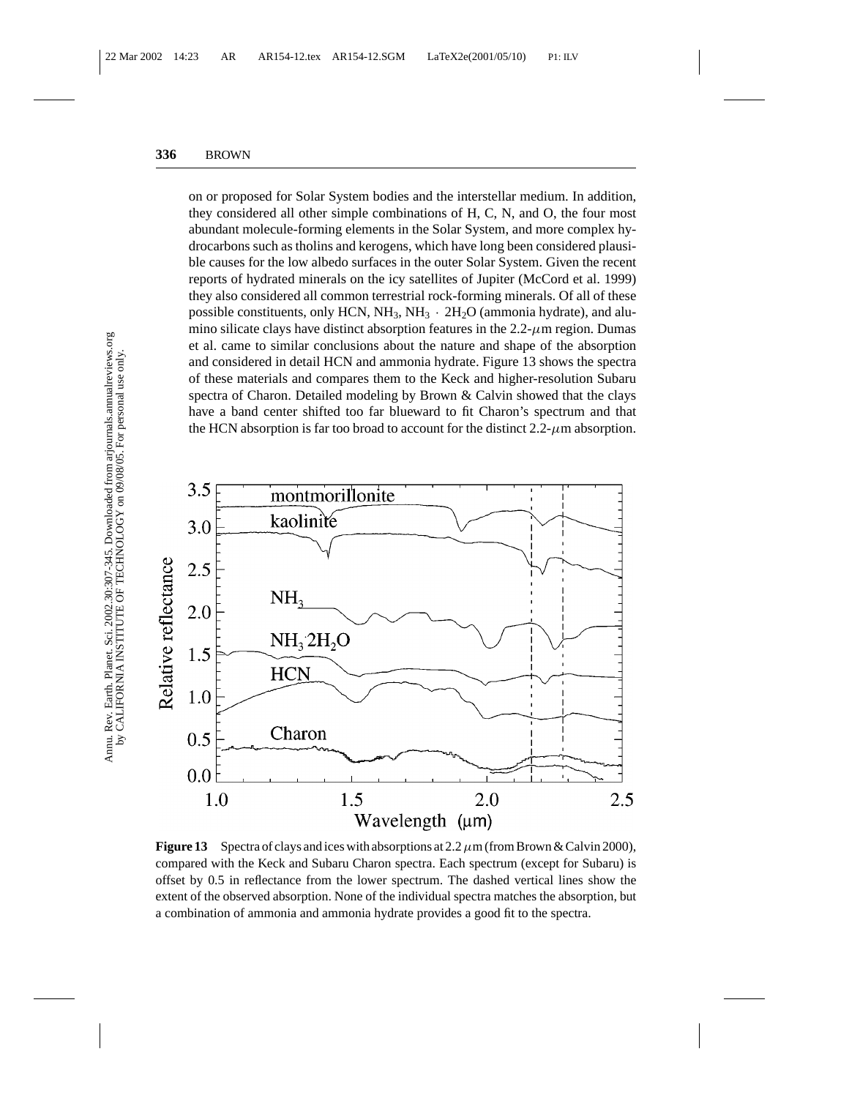on or proposed for Solar System bodies and the interstellar medium. In addition, they considered all other simple combinations of H, C, N, and O, the four most abundant molecule-forming elements in the Solar System, and more complex hydrocarbons such as tholins and kerogens, which have long been considered plausible causes for the low albedo surfaces in the outer Solar System. Given the recent reports of hydrated minerals on the icy satellites of Jupiter (McCord et al. 1999) they also considered all common terrestrial rock-forming minerals. Of all of these possible constituents, only HCN,  $NH_3$ ,  $NH_3 \cdot 2H_2O$  (ammonia hydrate), and alumino silicate clays have distinct absorption features in the  $2.2$ - $\mu$ m region. Dumas et al. came to similar conclusions about the nature and shape of the absorption and considered in detail HCN and ammonia hydrate. Figure 13 shows the spectra of these materials and compares them to the Keck and higher-resolution Subaru spectra of Charon. Detailed modeling by Brown & Calvin showed that the clays have a band center shifted too far blueward to fit Charon's spectrum and that the HCN absorption is far too broad to account for the distinct  $2.2$ - $\mu$ m absorption.



**Figure 13** Spectra of clays and ices with absorptions at 2.2  $\mu$ m (from Brown & Calvin 2000), compared with the Keck and Subaru Charon spectra. Each spectrum (except for Subaru) is offset by 0.5 in reflectance from the lower spectrum. The dashed vertical lines show the extent of the observed absorption. None of the individual spectra matches the absorption, but a combination of ammonia and ammonia hydrate provides a good fit to the spectra.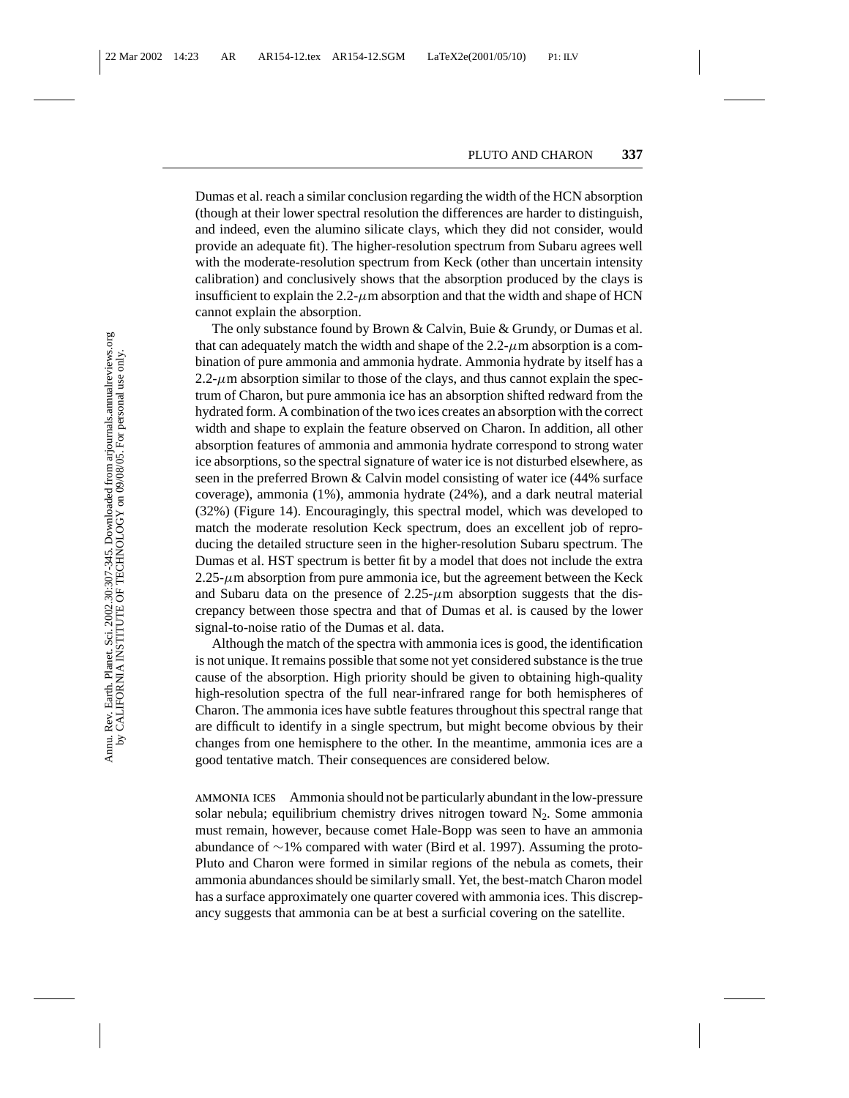Dumas et al. reach a similar conclusion regarding the width of the HCN absorption (though at their lower spectral resolution the differences are harder to distinguish, and indeed, even the alumino silicate clays, which they did not consider, would provide an adequate fit). The higher-resolution spectrum from Subaru agrees well with the moderate-resolution spectrum from Keck (other than uncertain intensity calibration) and conclusively shows that the absorption produced by the clays is insufficient to explain the 2.2- $\mu$ m absorption and that the width and shape of HCN cannot explain the absorption.

The only substance found by Brown & Calvin, Buie & Grundy, or Dumas et al. that can adequately match the width and shape of the  $2.2-\mu m$  absorption is a combination of pure ammonia and ammonia hydrate. Ammonia hydrate by itself has a  $2.2$ - $\mu$ m absorption similar to those of the clays, and thus cannot explain the spectrum of Charon, but pure ammonia ice has an absorption shifted redward from the hydrated form. A combination of the two ices creates an absorption with the correct width and shape to explain the feature observed on Charon. In addition, all other absorption features of ammonia and ammonia hydrate correspond to strong water ice absorptions, so the spectral signature of water ice is not disturbed elsewhere, as seen in the preferred Brown & Calvin model consisting of water ice (44% surface coverage), ammonia (1%), ammonia hydrate (24%), and a dark neutral material (32%) (Figure 14). Encouragingly, this spectral model, which was developed to match the moderate resolution Keck spectrum, does an excellent job of reproducing the detailed structure seen in the higher-resolution Subaru spectrum. The Dumas et al. HST spectrum is better fit by a model that does not include the extra  $2.25-\mu$ m absorption from pure ammonia ice, but the agreement between the Keck and Subaru data on the presence of  $2.25-\mu m$  absorption suggests that the discrepancy between those spectra and that of Dumas et al. is caused by the lower signal-to-noise ratio of the Dumas et al. data.

Although the match of the spectra with ammonia ices is good, the identification is not unique. It remains possible that some not yet considered substance is the true cause of the absorption. High priority should be given to obtaining high-quality high-resolution spectra of the full near-infrared range for both hemispheres of Charon. The ammonia ices have subtle features throughout this spectral range that are difficult to identify in a single spectrum, but might become obvious by their changes from one hemisphere to the other. In the meantime, ammonia ices are a good tentative match. Their consequences are considered below.

**AMMONIA ICES** Ammonia should not be particularly abundant in the low-pressure solar nebula; equilibrium chemistry drives nitrogen toward  $N_2$ . Some ammonia must remain, however, because comet Hale-Bopp was seen to have an ammonia abundance of ∼1% compared with water (Bird et al. 1997). Assuming the proto-Pluto and Charon were formed in similar regions of the nebula as comets, their ammonia abundances should be similarly small. Yet, the best-match Charon model has a surface approximately one quarter covered with ammonia ices. This discrepancy suggests that ammonia can be at best a surficial covering on the satellite.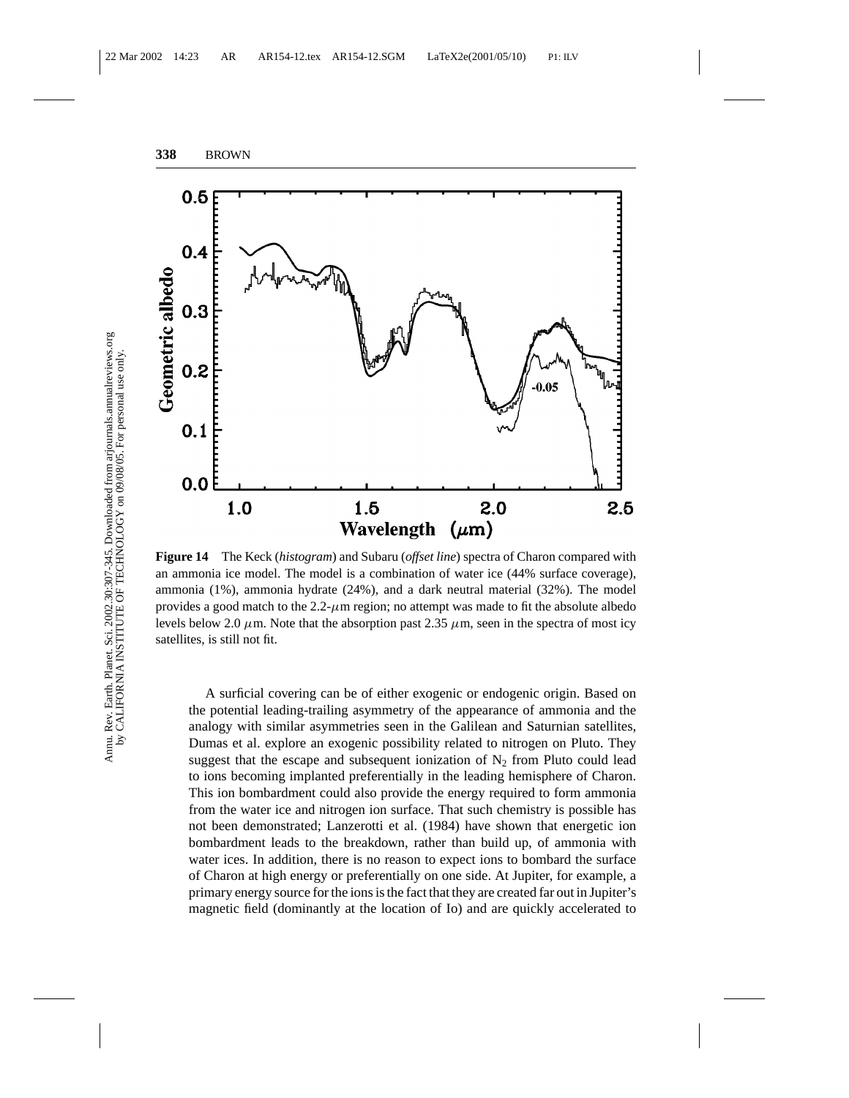

**Figure 14** The Keck (*histogram*) and Subaru (*offset line*) spectra of Charon compared with an ammonia ice model. The model is a combination of water ice (44% surface coverage), ammonia (1%), ammonia hydrate (24%), and a dark neutral material (32%). The model provides a good match to the  $2.2$ - $\mu$ m region; no attempt was made to fit the absolute albedo levels below 2.0  $\mu$ m. Note that the absorption past 2.35  $\mu$ m, seen in the spectra of most icy satellites, is still not fit.

A surficial covering can be of either exogenic or endogenic origin. Based on the potential leading-trailing asymmetry of the appearance of ammonia and the analogy with similar asymmetries seen in the Galilean and Saturnian satellites, Dumas et al. explore an exogenic possibility related to nitrogen on Pluto. They suggest that the escape and subsequent ionization of  $N<sub>2</sub>$  from Pluto could lead to ions becoming implanted preferentially in the leading hemisphere of Charon. This ion bombardment could also provide the energy required to form ammonia from the water ice and nitrogen ion surface. That such chemistry is possible has not been demonstrated; Lanzerotti et al. (1984) have shown that energetic ion bombardment leads to the breakdown, rather than build up, of ammonia with water ices. In addition, there is no reason to expect ions to bombard the surface of Charon at high energy or preferentially on one side. At Jupiter, for example, a primary energy source for the ions is the fact that they are created far out in Jupiter's magnetic field (dominantly at the location of Io) and are quickly accelerated to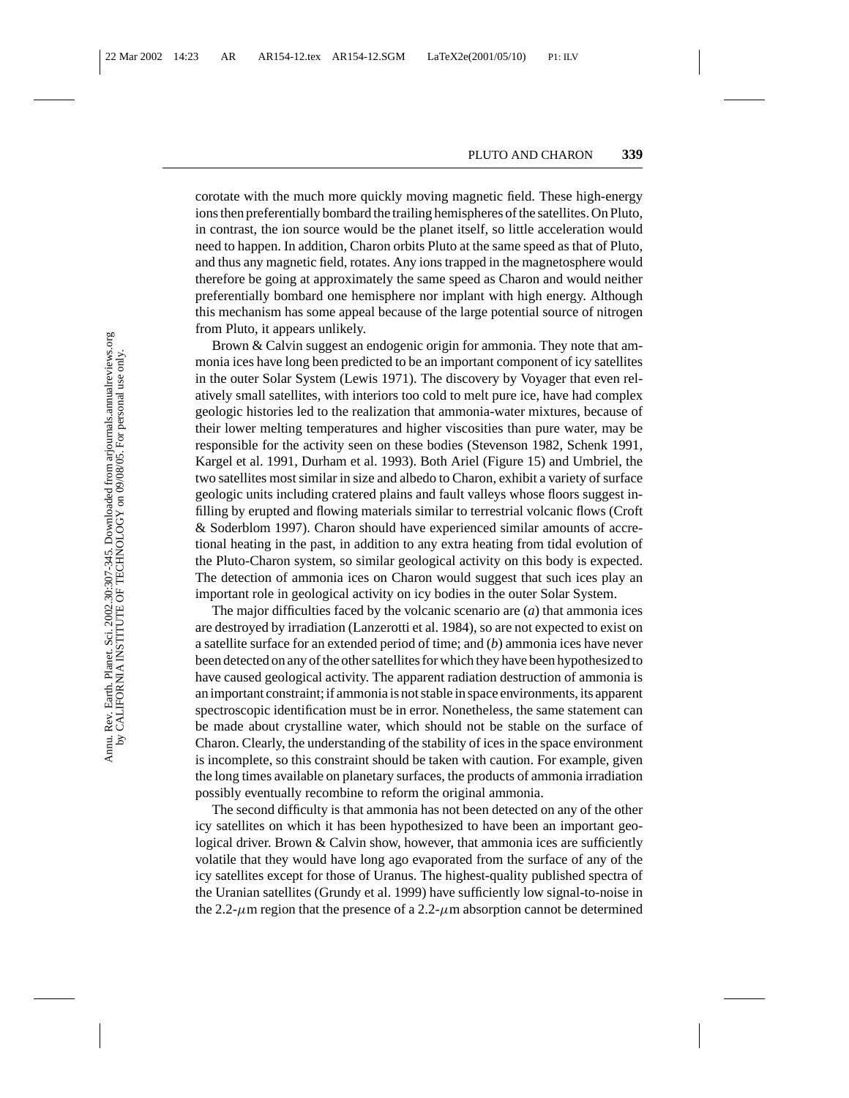corotate with the much more quickly moving magnetic field. These high-energy ions then preferentially bombard the trailing hemispheres of the satellites. On Pluto, in contrast, the ion source would be the planet itself, so little acceleration would need to happen. In addition, Charon orbits Pluto at the same speed as that of Pluto, and thus any magnetic field, rotates. Any ions trapped in the magnetosphere would therefore be going at approximately the same speed as Charon and would neither preferentially bombard one hemisphere nor implant with high energy. Although this mechanism has some appeal because of the large potential source of nitrogen from Pluto, it appears unlikely.

Brown & Calvin suggest an endogenic origin for ammonia. They note that ammonia ices have long been predicted to be an important component of icy satellites in the outer Solar System (Lewis 1971). The discovery by Voyager that even relatively small satellites, with interiors too cold to melt pure ice, have had complex geologic histories led to the realization that ammonia-water mixtures, because of their lower melting temperatures and higher viscosities than pure water, may be responsible for the activity seen on these bodies (Stevenson 1982, Schenk 1991, Kargel et al. 1991, Durham et al. 1993). Both Ariel (Figure 15) and Umbriel, the two satellites most similar in size and albedo to Charon, exhibit a variety of surface geologic units including cratered plains and fault valleys whose floors suggest infilling by erupted and flowing materials similar to terrestrial volcanic flows (Croft & Soderblom 1997). Charon should have experienced similar amounts of accretional heating in the past, in addition to any extra heating from tidal evolution of the Pluto-Charon system, so similar geological activity on this body is expected. The detection of ammonia ices on Charon would suggest that such ices play an important role in geological activity on icy bodies in the outer Solar System.

The major difficulties faced by the volcanic scenario are (*a*) that ammonia ices are destroyed by irradiation (Lanzerotti et al. 1984), so are not expected to exist on a satellite surface for an extended period of time; and (*b*) ammonia ices have never been detected on any of the other satellites for which they have been hypothesized to have caused geological activity. The apparent radiation destruction of ammonia is an important constraint; if ammonia is not stable in space environments, its apparent spectroscopic identification must be in error. Nonetheless, the same statement can be made about crystalline water, which should not be stable on the surface of Charon. Clearly, the understanding of the stability of ices in the space environment is incomplete, so this constraint should be taken with caution. For example, given the long times available on planetary surfaces, the products of ammonia irradiation possibly eventually recombine to reform the original ammonia.

The second difficulty is that ammonia has not been detected on any of the other icy satellites on which it has been hypothesized to have been an important geological driver. Brown & Calvin show, however, that ammonia ices are sufficiently volatile that they would have long ago evaporated from the surface of any of the icy satellites except for those of Uranus. The highest-quality published spectra of the Uranian satellites (Grundy et al. 1999) have sufficiently low signal-to-noise in the 2.2- $\mu$ m region that the presence of a 2.2- $\mu$ m absorption cannot be determined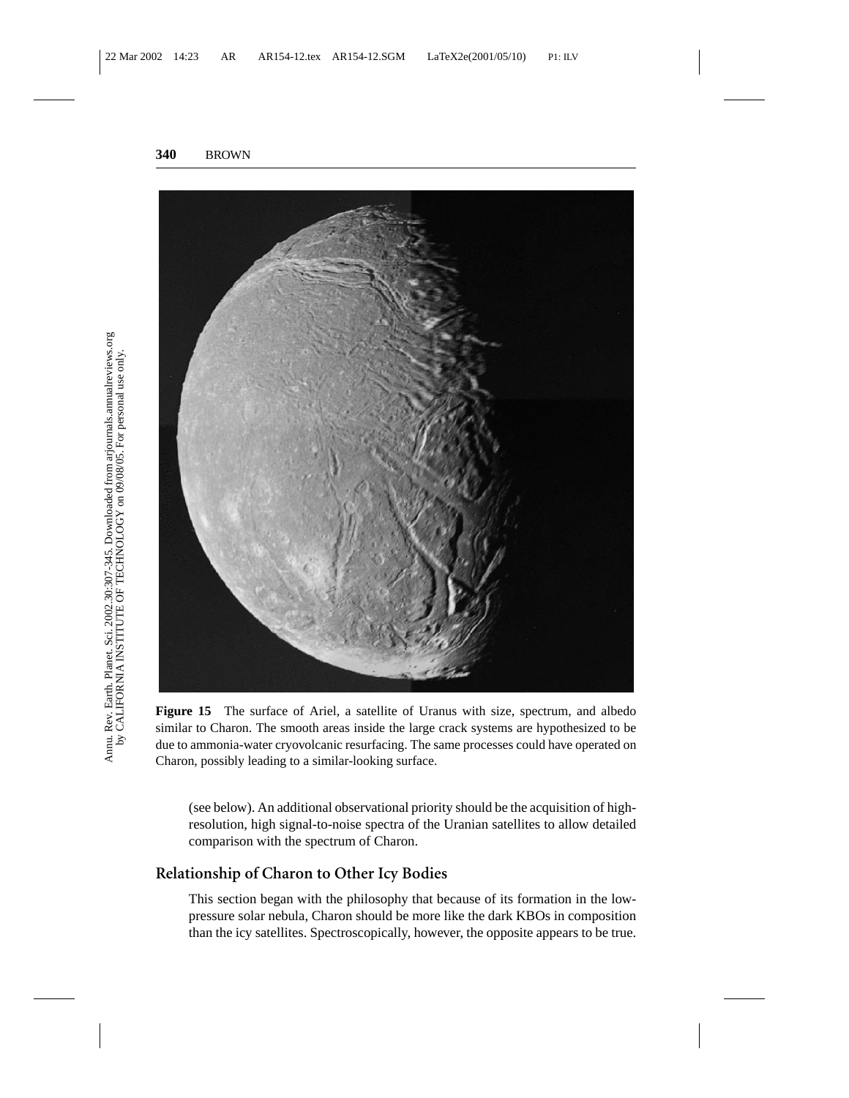

**Figure 15** The surface of Ariel, a satellite of Uranus with size, spectrum, and albedo similar to Charon. The smooth areas inside the large crack systems are hypothesized to be due to ammonia-water cryovolcanic resurfacing. The same processes could have operated on Charon, possibly leading to a similar-looking surface.

(see below). An additional observational priority should be the acquisition of highresolution, high signal-to-noise spectra of the Uranian satellites to allow detailed comparison with the spectrum of Charon.

## **Relationship of Charon to Other Icy Bodies**

This section began with the philosophy that because of its formation in the lowpressure solar nebula, Charon should be more like the dark KBOs in composition than the icy satellites. Spectroscopically, however, the opposite appears to be true.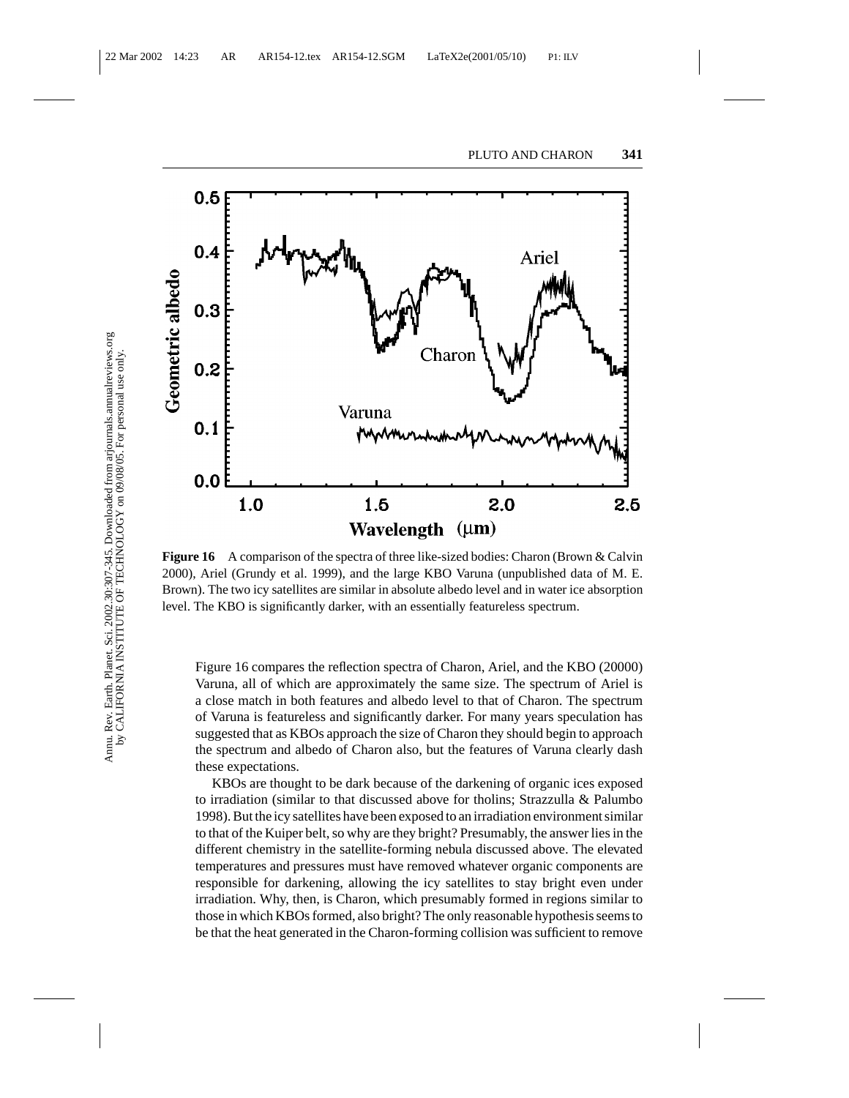

**Figure 16** A comparison of the spectra of three like-sized bodies: Charon (Brown & Calvin 2000), Ariel (Grundy et al. 1999), and the large KBO Varuna (unpublished data of M. E. Brown). The two icy satellites are similar in absolute albedo level and in water ice absorption level. The KBO is significantly darker, with an essentially featureless spectrum.

Figure 16 compares the reflection spectra of Charon, Ariel, and the KBO (20000) Varuna, all of which are approximately the same size. The spectrum of Ariel is a close match in both features and albedo level to that of Charon. The spectrum of Varuna is featureless and significantly darker. For many years speculation has suggested that as KBOs approach the size of Charon they should begin to approach the spectrum and albedo of Charon also, but the features of Varuna clearly dash these expectations.

KBOs are thought to be dark because of the darkening of organic ices exposed to irradiation (similar to that discussed above for tholins; Strazzulla & Palumbo 1998). But the icy satellites have been exposed to an irradiation environment similar to that of the Kuiper belt, so why are they bright? Presumably, the answer lies in the different chemistry in the satellite-forming nebula discussed above. The elevated temperatures and pressures must have removed whatever organic components are responsible for darkening, allowing the icy satellites to stay bright even under irradiation. Why, then, is Charon, which presumably formed in regions similar to those in which KBOs formed, also bright? The only reasonable hypothesis seems to be that the heat generated in the Charon-forming collision was sufficient to remove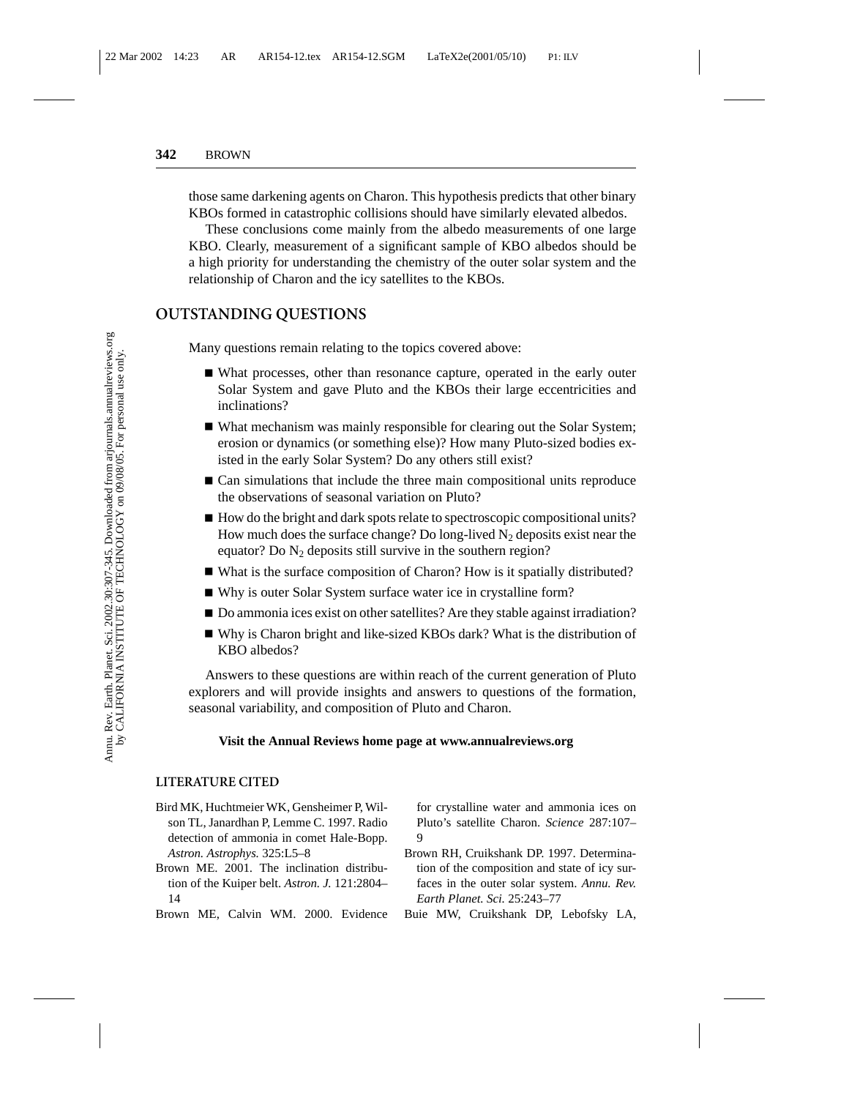those same darkening agents on Charon. This hypothesis predicts that other binary KBOs formed in catastrophic collisions should have similarly elevated albedos.

These conclusions come mainly from the albedo measurements of one large KBO. Clearly, measurement of a significant sample of KBO albedos should be a high priority for understanding the chemistry of the outer solar system and the relationship of Charon and the icy satellites to the KBOs.

### **OUTSTANDING QUESTIONS**

Many questions remain relating to the topics covered above:

- What processes, other than resonance capture, operated in the early outer Solar System and gave Pluto and the KBOs their large eccentricities and inclinations?
- What mechanism was mainly responsible for clearing out the Solar System; erosion or dynamics (or something else)? How many Pluto-sized bodies existed in the early Solar System? Do any others still exist?
- Can simulations that include the three main compositional units reproduce the observations of seasonal variation on Pluto?
- How do the bright and dark spots relate to spectroscopic compositional units? How much does the surface change? Do long-lived  $N_2$  deposits exist near the equator? Do  $N_2$  deposits still survive in the southern region?
- What is the surface composition of Charon? How is it spatially distributed?
- Why is outer Solar System surface water ice in crystalline form?
- Do ammonia ices exist on other satellites? Are they stable against irradiation?
- Why is Charon bright and like-sized KBOs dark? What is the distribution of KBO albedos?

Answers to these questions are within reach of the current generation of Pluto explorers and will provide insights and answers to questions of the formation, seasonal variability, and composition of Pluto and Charon.

#### **Visit the Annual Reviews home page at www.annualreviews.org**

#### **LITERATURE CITED**

- Bird MK, Huchtmeier WK, Gensheimer P, Wilson TL, Janardhan P, Lemme C. 1997. Radio detection of ammonia in comet Hale-Bopp. *Astron. Astrophys.* 325:L5–8
- Brown ME. 2001. The inclination distribution of the Kuiper belt. *Astron. J.* 121:2804– 14
- Brown ME, Calvin WM. 2000. Evidence

for crystalline water and ammonia ices on Pluto's satellite Charon. *Science* 287:107–  $\Omega$ 

- Brown RH, Cruikshank DP. 1997. Determination of the composition and state of icy surfaces in the outer solar system. *Annu. Rev. Earth Planet. Sci.* 25:243–77
- Buie MW, Cruikshank DP, Lebofsky LA,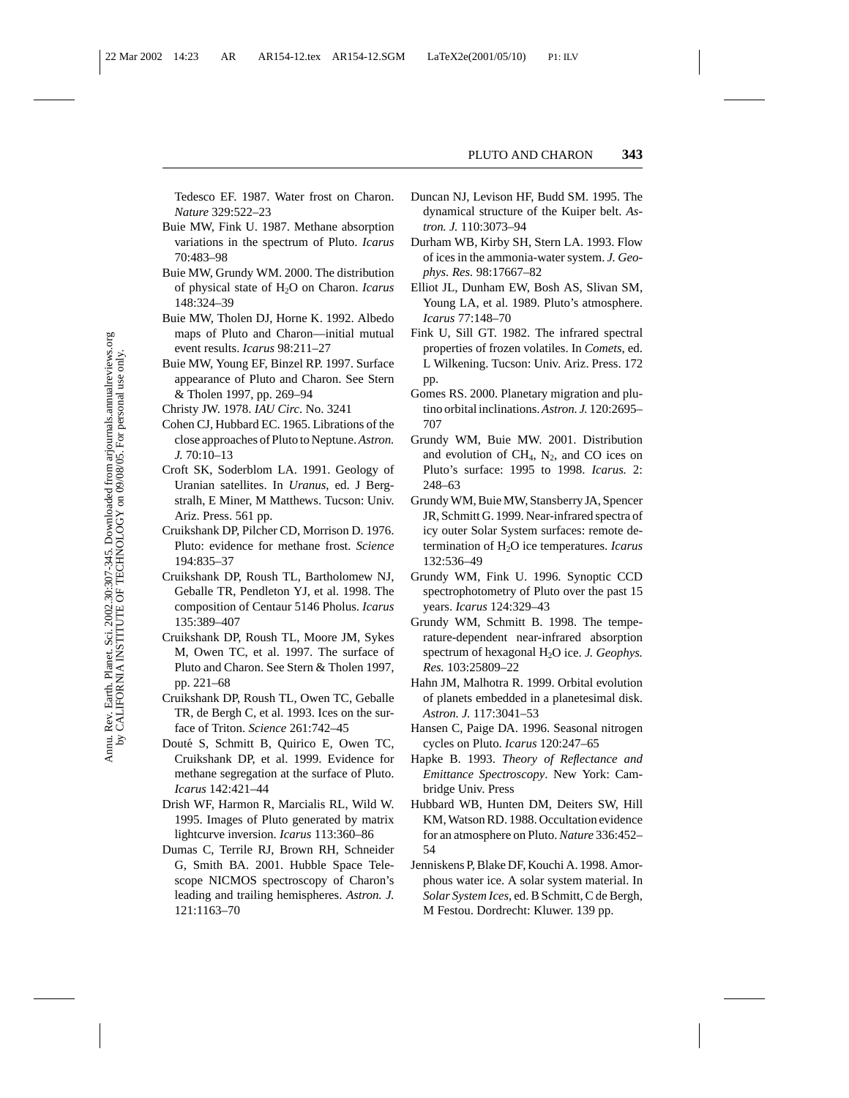Tedesco EF. 1987. Water frost on Charon. *Nature* 329:522–23

- Buie MW, Fink U. 1987. Methane absorption variations in the spectrum of Pluto. *Icarus* 70:483–98
- Buie MW, Grundy WM. 2000. The distribution of physical state of H2O on Charon. *Icarus* 148:324–39
- Buie MW, Tholen DJ, Horne K. 1992. Albedo maps of Pluto and Charon—initial mutual event results. *Icarus* 98:211–27
- Buie MW, Young EF, Binzel RP. 1997. Surface appearance of Pluto and Charon. See Stern & Tholen 1997, pp. 269–94
- Christy JW. 1978. *IAU Circ*. No. 3241
- Cohen CJ, Hubbard EC. 1965. Librations of the close approaches of Pluto to Neptune.*Astron. J.* 70:10–13
- Croft SK, Soderblom LA. 1991. Geology of Uranian satellites. In *Uranus*, ed. J Bergstralh, E Miner, M Matthews. Tucson: Univ. Ariz. Press. 561 pp.
- Cruikshank DP, Pilcher CD, Morrison D. 1976. Pluto: evidence for methane frost. *Science* 194:835–37
- Cruikshank DP, Roush TL, Bartholomew NJ, Geballe TR, Pendleton YJ, et al. 1998. The composition of Centaur 5146 Pholus. *Icarus* 135:389–407
- Cruikshank DP, Roush TL, Moore JM, Sykes M, Owen TC, et al. 1997. The surface of Pluto and Charon. See Stern & Tholen 1997, pp. 221–68
- Cruikshank DP, Roush TL, Owen TC, Geballe TR, de Bergh C, et al. 1993. Ices on the surface of Triton. *Science* 261:742–45
- Douté S, Schmitt B, Quirico E, Owen TC, Cruikshank DP, et al. 1999. Evidence for methane segregation at the surface of Pluto. *Icarus* 142:421–44
- Drish WF, Harmon R, Marcialis RL, Wild W. 1995. Images of Pluto generated by matrix lightcurve inversion. *Icarus* 113:360–86
- Dumas C, Terrile RJ, Brown RH, Schneider G, Smith BA. 2001. Hubble Space Telescope NICMOS spectroscopy of Charon's leading and trailing hemispheres. *Astron. J.* 121:1163–70
- Duncan NJ, Levison HF, Budd SM. 1995. The dynamical structure of the Kuiper belt. *Astron. J.* 110:3073–94
- Durham WB, Kirby SH, Stern LA. 1993. Flow of ices in the ammonia-water system. *J. Geophys. Res.* 98:17667–82
- Elliot JL, Dunham EW, Bosh AS, Slivan SM, Young LA, et al. 1989. Pluto's atmosphere. *Icarus* 77:148–70
- Fink U, Sill GT. 1982. The infrared spectral properties of frozen volatiles. In *Comets*, ed. L Wilkening. Tucson: Univ. Ariz. Press. 172 pp.
- Gomes RS. 2000. Planetary migration and plutino orbital inclinations.*Astron. J.* 120:2695– 707
- Grundy WM, Buie MW. 2001. Distribution and evolution of  $CH_4$ ,  $N_2$ , and CO ices on Pluto's surface: 1995 to 1998. *Icarus.* 2: 248–63
- Grundy WM, Buie MW, Stansberry JA, Spencer JR, Schmitt G. 1999. Near-infrared spectra of icy outer Solar System surfaces: remote determination of H2O ice temperatures. *Icarus* 132:536–49
- Grundy WM, Fink U. 1996. Synoptic CCD spectrophotometry of Pluto over the past 15 years. *Icarus* 124:329–43
- Grundy WM, Schmitt B. 1998. The temperature-dependent near-infrared absorption spectrum of hexagonal H2O ice. *J. Geophys. Res.* 103:25809–22
- Hahn JM, Malhotra R. 1999. Orbital evolution of planets embedded in a planetesimal disk. *Astron. J.* 117:3041–53
- Hansen C, Paige DA. 1996. Seasonal nitrogen cycles on Pluto. *Icarus* 120:247–65
- Hapke B. 1993. *Theory of Reflectance and Emittance Spectroscopy*. New York: Cambridge Univ. Press
- Hubbard WB, Hunten DM, Deiters SW, Hill KM, Watson RD. 1988. Occultation evidence for an atmosphere on Pluto. *Nature* 336:452– 54
- Jenniskens P, Blake DF, Kouchi A. 1998. Amorphous water ice. A solar system material. In *Solar System Ices*, ed. B Schmitt, C de Bergh, M Festou. Dordrecht: Kluwer. 139 pp.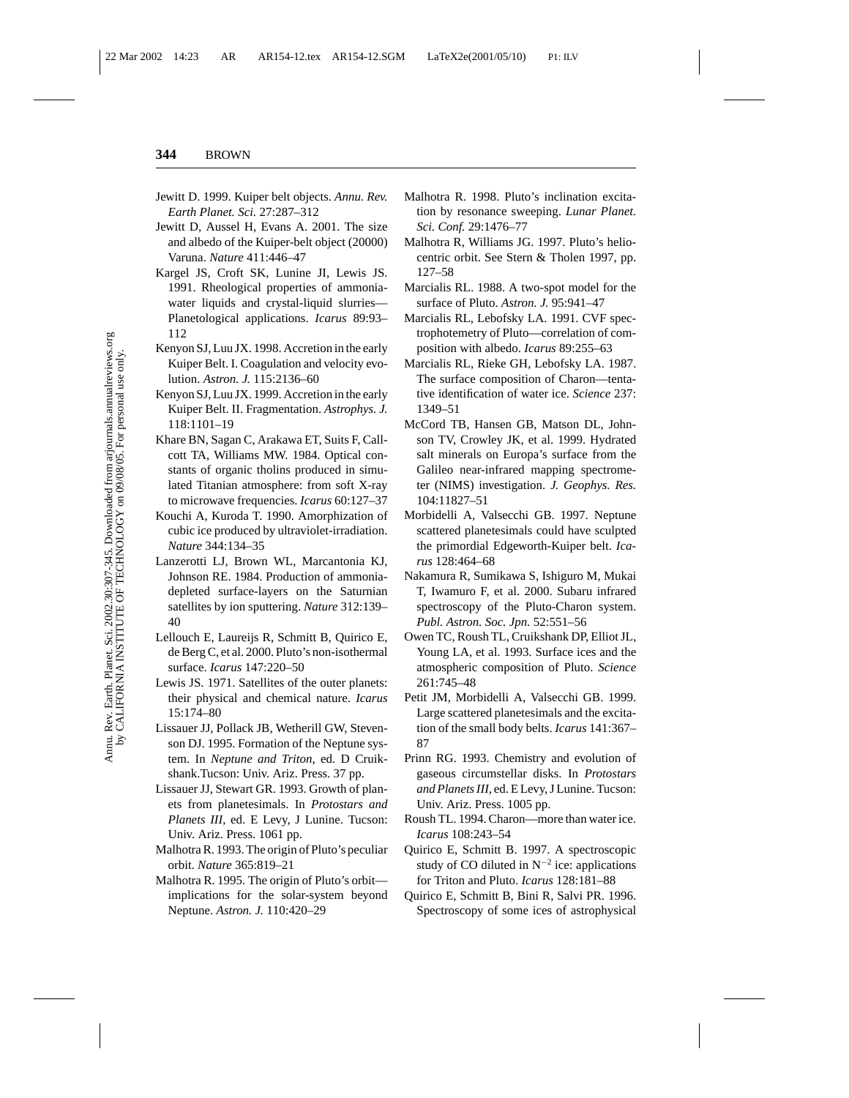- Jewitt D. 1999. Kuiper belt objects. *Annu. Rev. Earth Planet. Sci.* 27:287–312
- Jewitt D, Aussel H, Evans A. 2001. The size and albedo of the Kuiper-belt object (20000) Varuna. *Nature* 411:446–47
- Kargel JS, Croft SK, Lunine JI, Lewis JS. 1991. Rheological properties of ammoniawater liquids and crystal-liquid slurries Planetological applications. *Icarus* 89:93– 112
- Kenyon SJ, Luu JX. 1998. Accretion in the early Kuiper Belt. I. Coagulation and velocity evolution. *Astron. J.* 115:2136–60
- Kenyon SJ, Luu JX. 1999. Accretion in the early Kuiper Belt. II. Fragmentation. *Astrophys. J.* 118:1101–19
- Khare BN, Sagan C, Arakawa ET, Suits F, Callcott TA, Williams MW. 1984. Optical constants of organic tholins produced in simulated Titanian atmosphere: from soft X-ray to microwave frequencies. *Icarus* 60:127–37
- Kouchi A, Kuroda T. 1990. Amorphization of cubic ice produced by ultraviolet-irradiation. *Nature* 344:134–35
- Lanzerotti LJ, Brown WL, Marcantonia KJ, Johnson RE. 1984. Production of ammoniadepleted surface-layers on the Saturnian satellites by ion sputtering. *Nature* 312:139– 40
- Lellouch E, Laureijs R, Schmitt B, Quirico E, de Berg C, et al. 2000. Pluto's non-isothermal surface. *Icarus* 147:220–50
- Lewis JS. 1971. Satellites of the outer planets: their physical and chemical nature. *Icarus* 15:174–80
- Lissauer JJ, Pollack JB, Wetherill GW, Stevenson DJ. 1995. Formation of the Neptune system. In *Neptune and Triton*, ed. D Cruikshank.Tucson: Univ. Ariz. Press. 37 pp.
- Lissauer JJ, Stewart GR. 1993. Growth of planets from planetesimals. In *Protostars and Planets III*, ed. E Levy, J Lunine. Tucson: Univ. Ariz. Press. 1061 pp.
- Malhotra R. 1993. The origin of Pluto's peculiar orbit. *Nature* 365:819–21
- Malhotra R. 1995. The origin of Pluto's orbit implications for the solar-system beyond Neptune. *Astron. J.* 110:420–29
- Malhotra R. 1998. Pluto's inclination excitation by resonance sweeping. *Lunar Planet. Sci. Conf.* 29:1476–77
- Malhotra R, Williams JG. 1997. Pluto's heliocentric orbit. See Stern & Tholen 1997, pp. 127–58
- Marcialis RL. 1988. A two-spot model for the surface of Pluto. *Astron. J.* 95:941–47
- Marcialis RL, Lebofsky LA. 1991. CVF spectrophotemetry of Pluto—correlation of composition with albedo. *Icarus* 89:255–63
- Marcialis RL, Rieke GH, Lebofsky LA. 1987. The surface composition of Charon—tentative identification of water ice. *Science* 237: 1349–51
- McCord TB, Hansen GB, Matson DL, Johnson TV, Crowley JK, et al. 1999. Hydrated salt minerals on Europa's surface from the Galileo near-infrared mapping spectrometer (NIMS) investigation. *J. Geophys. Res.* 104:11827–51
- Morbidelli A, Valsecchi GB. 1997. Neptune scattered planetesimals could have sculpted the primordial Edgeworth-Kuiper belt. *Icarus* 128:464–68
- Nakamura R, Sumikawa S, Ishiguro M, Mukai T, Iwamuro F, et al. 2000. Subaru infrared spectroscopy of the Pluto-Charon system. *Publ. Astron. Soc. Jpn.* 52:551–56
- Owen TC, Roush TL, Cruikshank DP, Elliot JL, Young LA, et al. 1993. Surface ices and the atmospheric composition of Pluto. *Science* 261:745–48
- Petit JM, Morbidelli A, Valsecchi GB. 1999. Large scattered planetesimals and the excitation of the small body belts. *Icarus* 141:367– 87
- Prinn RG. 1993. Chemistry and evolution of gaseous circumstellar disks. In *Protostars and Planets III*, ed. E Levy, J Lunine. Tucson: Univ. Ariz. Press. 1005 pp.
- Roush TL. 1994. Charon—more than water ice. *Icarus* 108:243–54
- Quirico E, Schmitt B. 1997. A spectroscopic study of CO diluted in  $N^{-2}$  ice: applications for Triton and Pluto. *Icarus* 128:181–88
- Quirico E, Schmitt B, Bini R, Salvi PR. 1996. Spectroscopy of some ices of astrophysical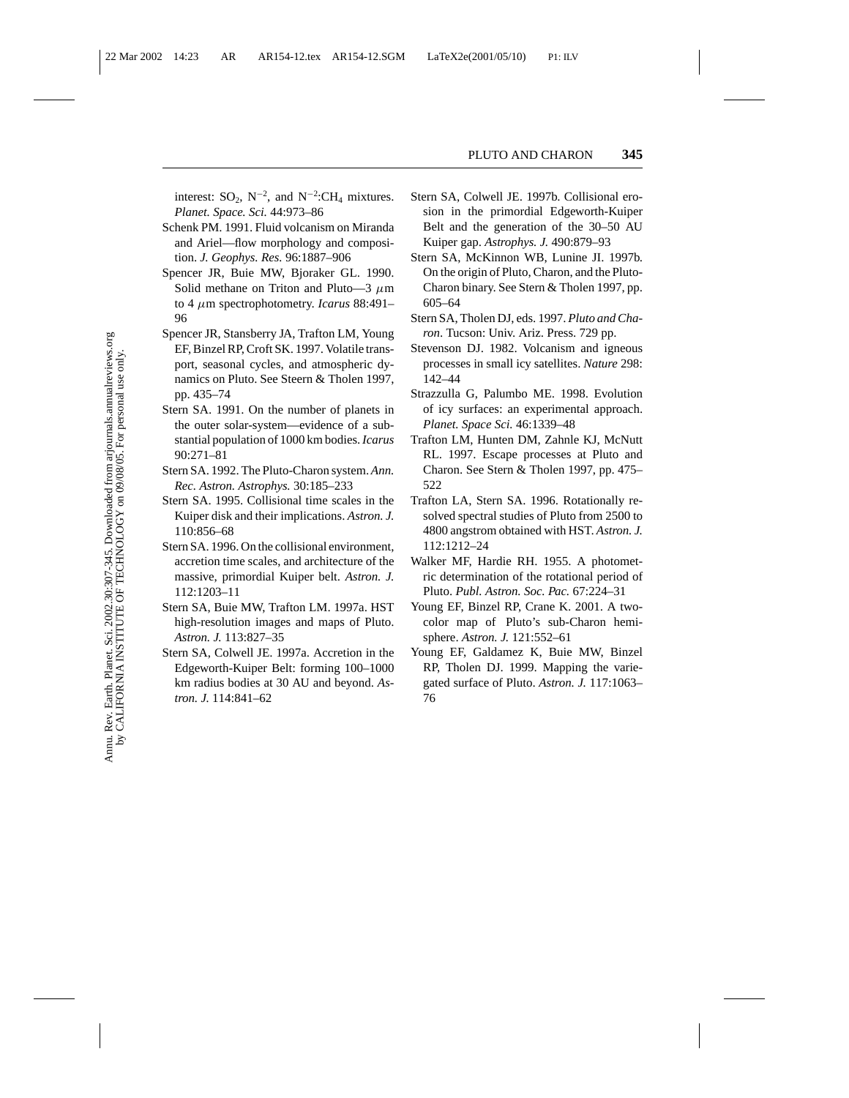interest:  $SO_2$ ,  $N^{-2}$ , and  $N^{-2}$ :CH<sub>4</sub> mixtures. *Planet. Space. Sci.* 44:973–86

- Schenk PM. 1991. Fluid volcanism on Miranda and Ariel—flow morphology and composition. *J. Geophys. Res.* 96:1887–906
- Spencer JR, Buie MW, Bjoraker GL. 1990. Solid methane on Triton and Pluto—3  $\mu$ m to 4 µm spectrophotometry. *Icarus* 88:491– 96
- Spencer JR, Stansberry JA, Trafton LM, Young EF, Binzel RP, Croft SK. 1997. Volatile transport, seasonal cycles, and atmospheric dynamics on Pluto. See Steern & Tholen 1997, pp. 435–74
- Stern SA. 1991. On the number of planets in the outer solar-system—evidence of a substantial population of 1000 km bodies.*Icarus* 90:271–81
- Stern SA. 1992. The Pluto-Charon system. *Ann. Rec. Astron. Astrophys.* 30:185–233
- Stern SA. 1995. Collisional time scales in the Kuiper disk and their implications. *Astron. J.* 110:856–68
- Stern SA. 1996. On the collisional environment, accretion time scales, and architecture of the massive, primordial Kuiper belt. *Astron. J.* 112:1203–11
- Stern SA, Buie MW, Trafton LM. 1997a. HST high-resolution images and maps of Pluto. *Astron. J.* 113:827–35
- Stern SA, Colwell JE. 1997a. Accretion in the Edgeworth-Kuiper Belt: forming 100–1000 km radius bodies at 30 AU and beyond. *Astron. J.* 114:841–62
- Stern SA, Colwell JE. 1997b. Collisional erosion in the primordial Edgeworth-Kuiper Belt and the generation of the 30–50 AU Kuiper gap. *Astrophys. J.* 490:879–93
- Stern SA, McKinnon WB, Lunine JI. 1997b. On the origin of Pluto, Charon, and the Pluto-Charon binary. See Stern & Tholen 1997, pp. 605–64
- Stern SA, Tholen DJ, eds. 1997. *Pluto and Charon*. Tucson: Univ. Ariz. Press. 729 pp.
- Stevenson DJ. 1982. Volcanism and igneous processes in small icy satellites. *Nature* 298: 142–44
- Strazzulla G, Palumbo ME. 1998. Evolution of icy surfaces: an experimental approach. *Planet. Space Sci.* 46:1339–48
- Trafton LM, Hunten DM, Zahnle KJ, McNutt RL. 1997. Escape processes at Pluto and Charon. See Stern & Tholen 1997, pp. 475– 522
- Trafton LA, Stern SA. 1996. Rotationally resolved spectral studies of Pluto from 2500 to 4800 angstrom obtained with HST. *Astron. J.* 112:1212–24
- Walker MF, Hardie RH. 1955. A photometric determination of the rotational period of Pluto. *Publ. Astron. Soc. Pac.* 67:224–31
- Young EF, Binzel RP, Crane K. 2001. A twocolor map of Pluto's sub-Charon hemisphere. *Astron. J.* 121:552–61
- Young EF, Galdamez K, Buie MW, Binzel RP, Tholen DJ. 1999. Mapping the variegated surface of Pluto. *Astron. J.* 117:1063– 76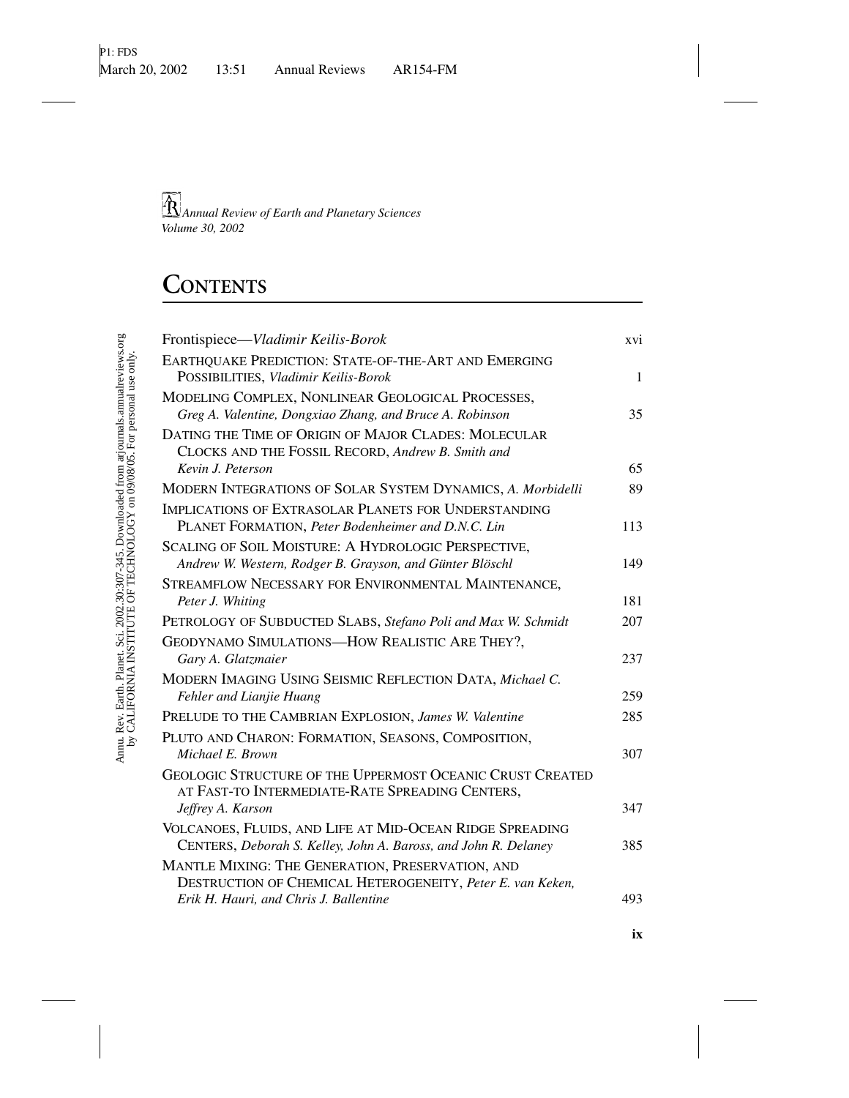# **CONTENTS**

| Frontispiece-Vladimir Keilis-Borok                                                                                          | xvi          |
|-----------------------------------------------------------------------------------------------------------------------------|--------------|
| EARTHQUAKE PREDICTION: STATE-OF-THE-ART AND EMERGING<br>POSSIBILITIES, Vladimir Keilis-Borok                                | $\mathbf{1}$ |
| MODELING COMPLEX, NONLINEAR GEOLOGICAL PROCESSES,<br>Greg A. Valentine, Dongxiao Zhang, and Bruce A. Robinson               | 35           |
| DATING THE TIME OF ORIGIN OF MAJOR CLADES: MOLECULAR<br>CLOCKS AND THE FOSSIL RECORD, Andrew B. Smith and                   |              |
| Kevin J. Peterson                                                                                                           | 65           |
| MODERN INTEGRATIONS OF SOLAR SYSTEM DYNAMICS, A. Morbidelli                                                                 | 89           |
| <b>IMPLICATIONS OF EXTRASOLAR PLANETS FOR UNDERSTANDING</b><br>PLANET FORMATION, Peter Bodenheimer and D.N.C. Lin           | 113          |
| SCALING OF SOIL MOISTURE: A HYDROLOGIC PERSPECTIVE,<br>Andrew W. Western, Rodger B. Grayson, and Günter Blöschl             | 149          |
| STREAMFLOW NECESSARY FOR ENVIRONMENTAL MAINTENANCE,<br>Peter J. Whiting                                                     | 181          |
| PETROLOGY OF SUBDUCTED SLABS, Stefano Poli and Max W. Schmidt                                                               | 207          |
| GEODYNAMO SIMULATIONS-HOW REALISTIC ARE THEY?,<br>Gary A. Glatzmaier                                                        | 237          |
| MODERN IMAGING USING SEISMIC REFLECTION DATA, Michael C.<br>Fehler and Lianjie Huang                                        | 259          |
| PRELUDE TO THE CAMBRIAN EXPLOSION, James W. Valentine                                                                       | 285          |
| PLUTO AND CHARON: FORMATION, SEASONS, COMPOSITION,                                                                          |              |
| Michael E. Brown                                                                                                            | 307          |
| <b>GEOLOGIC STRUCTURE OF THE UPPERMOST OCEANIC CRUST CREATED</b><br>AT FAST-TO INTERMEDIATE-RATE SPREADING CENTERS,         |              |
| Jeffrey A. Karson                                                                                                           | 347          |
| VOLCANOES, FLUIDS, AND LIFE AT MID-OCEAN RIDGE SPREADING<br>CENTERS, Deborah S. Kelley, John A. Baross, and John R. Delaney | 385          |
| MANTLE MIXING: THE GENERATION, PRESERVATION, AND<br>DESTRUCTION OF CHEMICAL HETEROGENEITY, Peter E. van Keken,              |              |
| Erik H. Hauri, and Chris J. Ballentine                                                                                      | 493          |